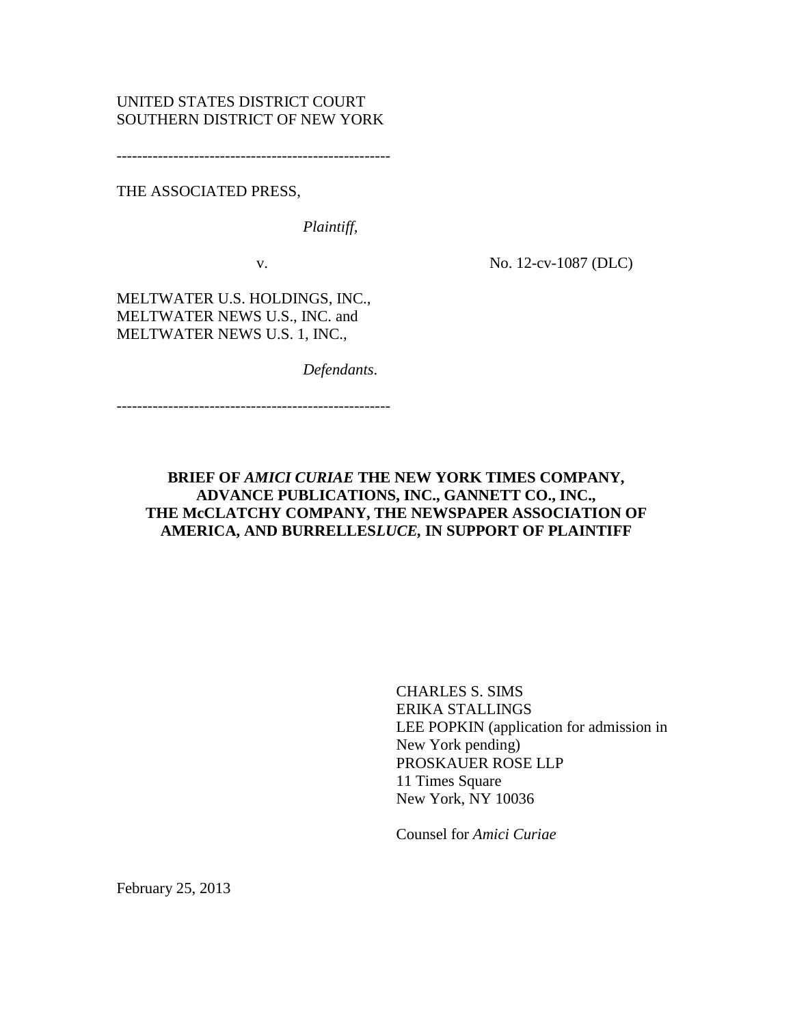# UNITED STATES DISTRICT COURT SOUTHERN DISTRICT OF NEW YORK

-----------------------------------------------------

THE ASSOCIATED PRESS,

*Plaintiff,*

v. No. 12-cv-1087 (DLC)

MELTWATER U.S. HOLDINGS, INC., MELTWATER NEWS U.S., INC. and MELTWATER NEWS U.S. 1, INC.,

*Defendants*.

-----------------------------------------------------

## **BRIEF OF** *AMICI CURIAE* **THE NEW YORK TIMES COMPANY, ADVANCE PUBLICATIONS, INC., GANNETT CO., INC., THE McCLATCHY COMPANY, THE NEWSPAPER ASSOCIATION OF AMERICA, AND BURRELLES***LUCE,* **IN SUPPORT OF PLAINTIFF**

CHARLES S. SIMS ERIKA STALLINGS LEE POPKIN (application for admission in New York pending) PROSKAUER ROSE LLP 11 Times Square New York, NY 10036

Counsel for *Amici Curiae*

February 25, 2013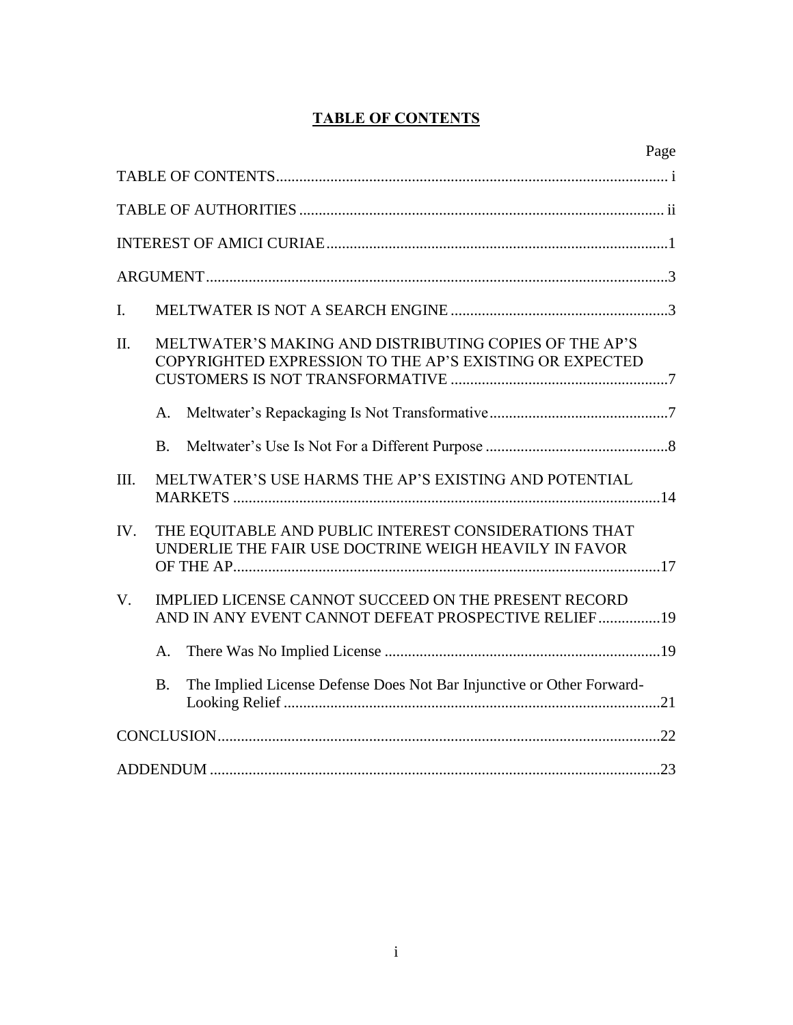# **TABLE OF CONTENTS**

|                                                                                                                            | Page |
|----------------------------------------------------------------------------------------------------------------------------|------|
|                                                                                                                            |      |
|                                                                                                                            |      |
|                                                                                                                            |      |
|                                                                                                                            |      |
| $\mathbf{I}$ .                                                                                                             |      |
| MELTWATER'S MAKING AND DISTRIBUTING COPIES OF THE AP'S<br>II.<br>COPYRIGHTED EXPRESSION TO THE AP'S EXISTING OR EXPECTED   |      |
| A.                                                                                                                         |      |
| <b>B.</b>                                                                                                                  |      |
| MELTWATER'S USE HARMS THE AP'S EXISTING AND POTENTIAL<br>III.                                                              |      |
| THE EQUITABLE AND PUBLIC INTEREST CONSIDERATIONS THAT<br>IV.<br>UNDERLIE THE FAIR USE DOCTRINE WEIGH HEAVILY IN FAVOR      |      |
| $V_{\cdot}$<br>IMPLIED LICENSE CANNOT SUCCEED ON THE PRESENT RECORD<br>AND IN ANY EVENT CANNOT DEFEAT PROSPECTIVE RELIEF19 |      |
| A.                                                                                                                         |      |
| The Implied License Defense Does Not Bar Injunctive or Other Forward-<br><b>B.</b>                                         |      |
|                                                                                                                            |      |
|                                                                                                                            |      |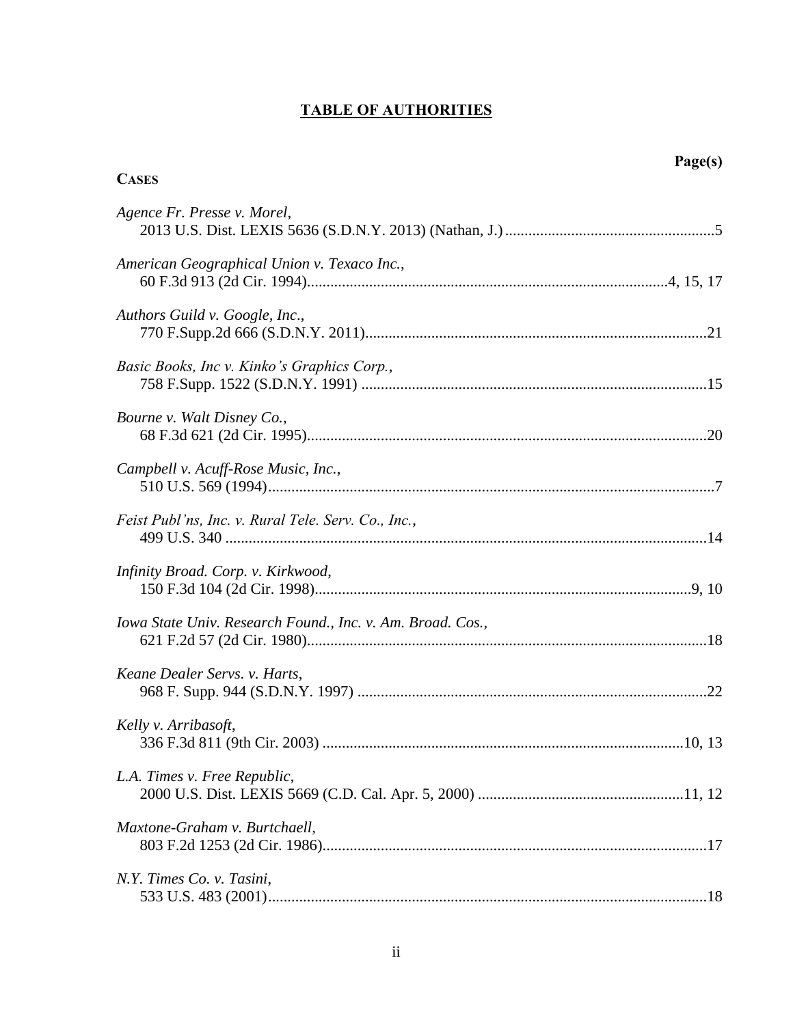# **TABLE OF AUTHORITIES**

| <b>CASES</b>                                               | Page(s) |
|------------------------------------------------------------|---------|
| Agence Fr. Presse v. Morel,                                |         |
| American Geographical Union v. Texaco Inc.,                |         |
| Authors Guild v. Google, Inc.,                             |         |
| Basic Books, Inc v. Kinko's Graphics Corp.,                |         |
| Bourne v. Walt Disney Co.,                                 |         |
| Campbell v. Acuff-Rose Music, Inc.,                        |         |
| Feist Publ'ns, Inc. v. Rural Tele. Serv. Co., Inc.,        |         |
| Infinity Broad. Corp. v. Kirkwood,                         |         |
| Iowa State Univ. Research Found., Inc. v. Am. Broad. Cos., |         |
| Keane Dealer Servs. v. Harts,                              |         |
| Kelly v. Arribasoft,                                       |         |
| L.A. Times v. Free Republic,                               |         |
| Maxtone-Graham v. Burtchaell,                              |         |
| N.Y. Times Co. v. Tasini,                                  |         |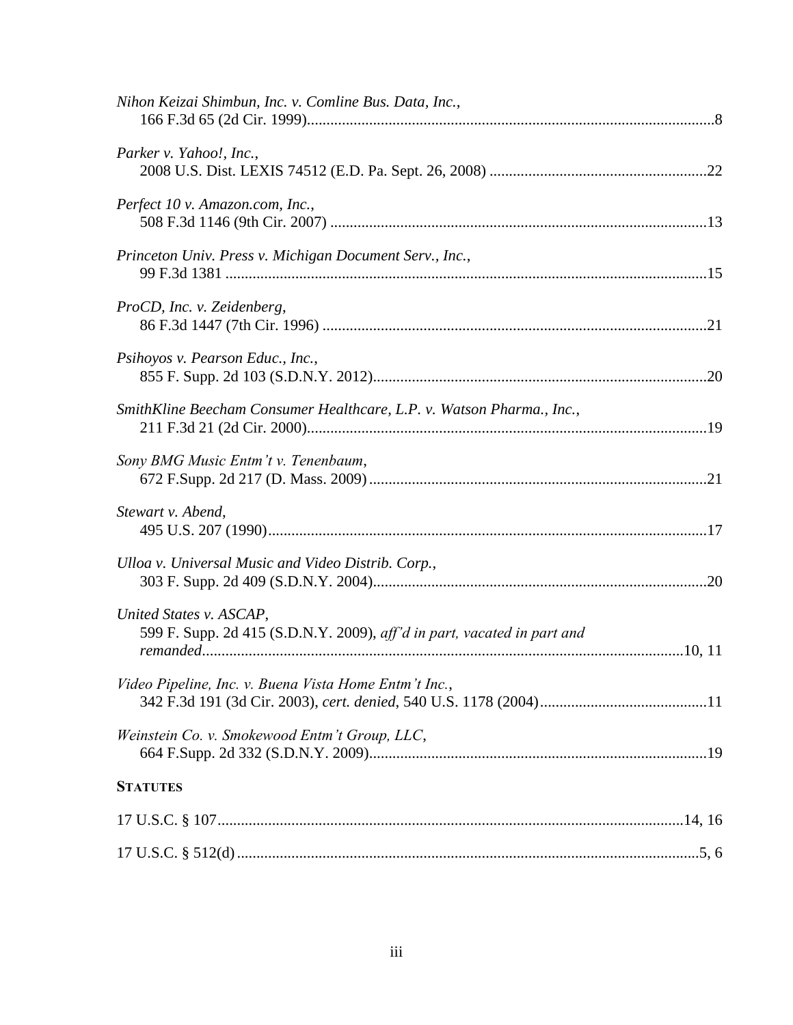| Nihon Keizai Shimbun, Inc. v. Comline Bus. Data, Inc.,                                             |
|----------------------------------------------------------------------------------------------------|
| Parker v. Yahoo!, Inc.,                                                                            |
| Perfect 10 v. Amazon.com, Inc.,                                                                    |
| Princeton Univ. Press v. Michigan Document Serv., Inc.,                                            |
| ProCD, Inc. v. Zeidenberg,                                                                         |
| Psihoyos v. Pearson Educ., Inc.,                                                                   |
| SmithKline Beecham Consumer Healthcare, L.P. v. Watson Pharma., Inc.,                              |
| Sony BMG Music Entm't v. Tenenbaum,                                                                |
| Stewart v. Abend,                                                                                  |
| Ulloa v. Universal Music and Video Distrib. Corp.,                                                 |
| United States v. ASCAP,<br>599 F. Supp. 2d 415 (S.D.N.Y. 2009), aff'd in part, vacated in part and |
| Video Pipeline, Inc. v. Buena Vista Home Entm't Inc.,                                              |
| Weinstein Co. v. Smokewood Entm't Group, LLC,                                                      |
| <b>STATUTES</b>                                                                                    |
|                                                                                                    |
|                                                                                                    |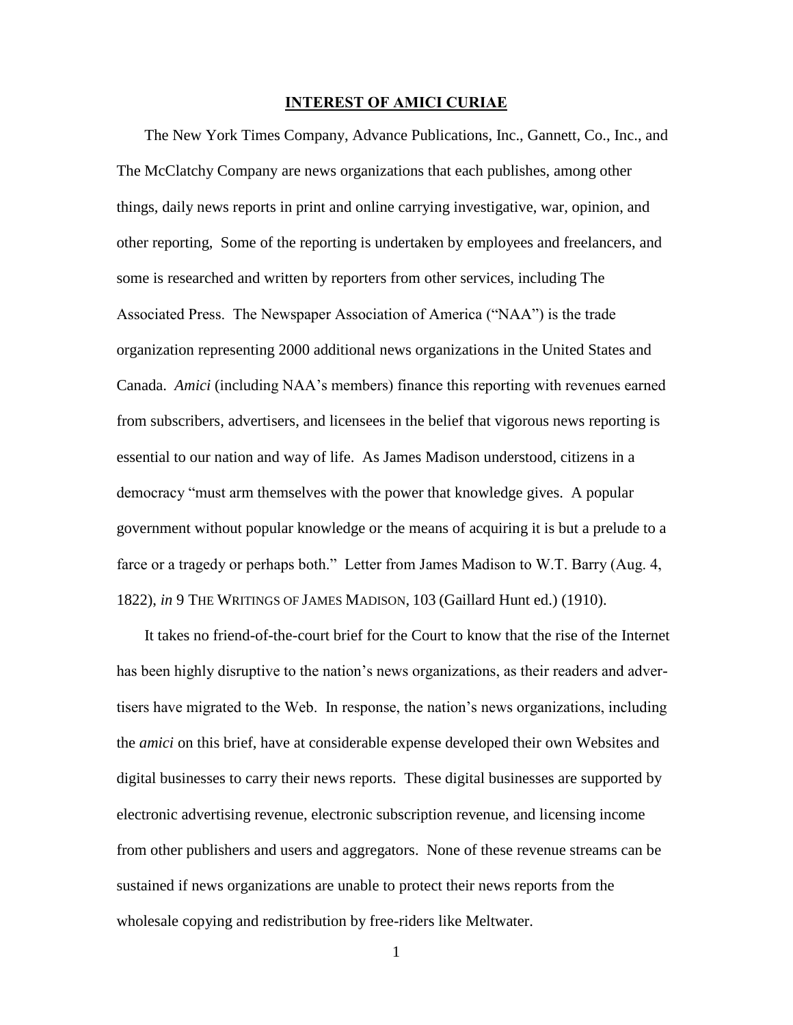#### **INTEREST OF AMICI CURIAE**

The New York Times Company, Advance Publications, Inc., Gannett, Co., Inc., and The McClatchy Company are news organizations that each publishes, among other things, daily news reports in print and online carrying investigative, war, opinion, and other reporting, Some of the reporting is undertaken by employees and freelancers, and some is researched and written by reporters from other services, including The Associated Press. The Newspaper Association of America ("NAA") is the trade organization representing 2000 additional news organizations in the United States and Canada. *Amici* (including NAA's members) finance this reporting with revenues earned from subscribers, advertisers, and licensees in the belief that vigorous news reporting is essential to our nation and way of life. As James Madison understood, citizens in a democracy "must arm themselves with the power that knowledge gives. A popular government without popular knowledge or the means of acquiring it is but a prelude to a farce or a tragedy or perhaps both." Letter from James Madison to W.T. Barry (Aug. 4, 1822), *in* 9 THE WRITINGS OF JAMES MADISON, 103 (Gaillard Hunt ed.) (1910).

It takes no friend-of-the-court brief for the Court to know that the rise of the Internet has been highly disruptive to the nation's news organizations, as their readers and advertisers have migrated to the Web. In response, the nation's news organizations, including the *amici* on this brief, have at considerable expense developed their own Websites and digital businesses to carry their news reports. These digital businesses are supported by electronic advertising revenue, electronic subscription revenue, and licensing income from other publishers and users and aggregators. None of these revenue streams can be sustained if news organizations are unable to protect their news reports from the wholesale copying and redistribution by free-riders like Meltwater.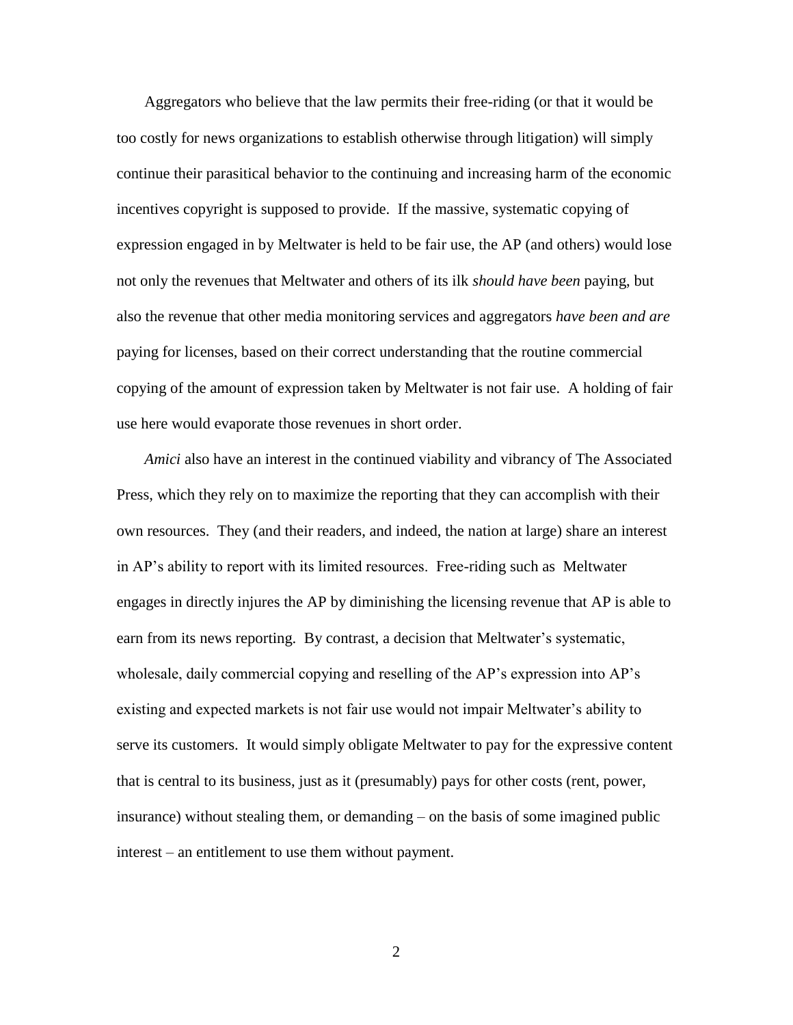Aggregators who believe that the law permits their free-riding (or that it would be too costly for news organizations to establish otherwise through litigation) will simply continue their parasitical behavior to the continuing and increasing harm of the economic incentives copyright is supposed to provide. If the massive, systematic copying of expression engaged in by Meltwater is held to be fair use, the AP (and others) would lose not only the revenues that Meltwater and others of its ilk *should have been* paying, but also the revenue that other media monitoring services and aggregators *have been and are* paying for licenses, based on their correct understanding that the routine commercial copying of the amount of expression taken by Meltwater is not fair use. A holding of fair use here would evaporate those revenues in short order.

*Amici* also have an interest in the continued viability and vibrancy of The Associated Press, which they rely on to maximize the reporting that they can accomplish with their own resources. They (and their readers, and indeed, the nation at large) share an interest in AP's ability to report with its limited resources. Free-riding such as Meltwater engages in directly injures the AP by diminishing the licensing revenue that AP is able to earn from its news reporting. By contrast, a decision that Meltwater's systematic, wholesale, daily commercial copying and reselling of the AP's expression into AP's existing and expected markets is not fair use would not impair Meltwater's ability to serve its customers. It would simply obligate Meltwater to pay for the expressive content that is central to its business, just as it (presumably) pays for other costs (rent, power, insurance) without stealing them, or demanding – on the basis of some imagined public interest – an entitlement to use them without payment.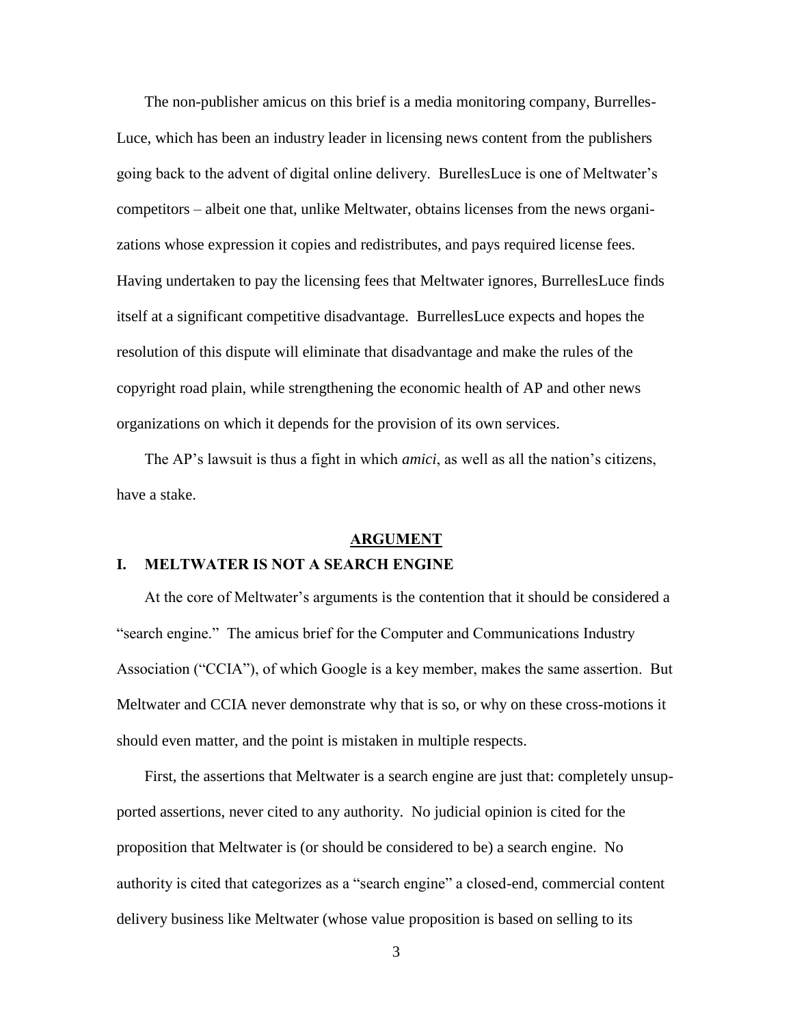The non-publisher amicus on this brief is a media monitoring company, Burrelles-Luce, which has been an industry leader in licensing news content from the publishers going back to the advent of digital online delivery. BurellesLuce is one of Meltwater's competitors – albeit one that, unlike Meltwater, obtains licenses from the news organizations whose expression it copies and redistributes, and pays required license fees. Having undertaken to pay the licensing fees that Meltwater ignores, BurrellesLuce finds itself at a significant competitive disadvantage. BurrellesLuce expects and hopes the resolution of this dispute will eliminate that disadvantage and make the rules of the copyright road plain, while strengthening the economic health of AP and other news organizations on which it depends for the provision of its own services.

The AP's lawsuit is thus a fight in which *amici*, as well as all the nation's citizens, have a stake.

#### **ARGUMENT**

#### **I. MELTWATER IS NOT A SEARCH ENGINE**

At the core of Meltwater's arguments is the contention that it should be considered a "search engine." The amicus brief for the Computer and Communications Industry Association ("CCIA"), of which Google is a key member, makes the same assertion. But Meltwater and CCIA never demonstrate why that is so, or why on these cross-motions it should even matter, and the point is mistaken in multiple respects.

First, the assertions that Meltwater is a search engine are just that: completely unsupported assertions, never cited to any authority. No judicial opinion is cited for the proposition that Meltwater is (or should be considered to be) a search engine. No authority is cited that categorizes as a "search engine" a closed-end, commercial content delivery business like Meltwater (whose value proposition is based on selling to its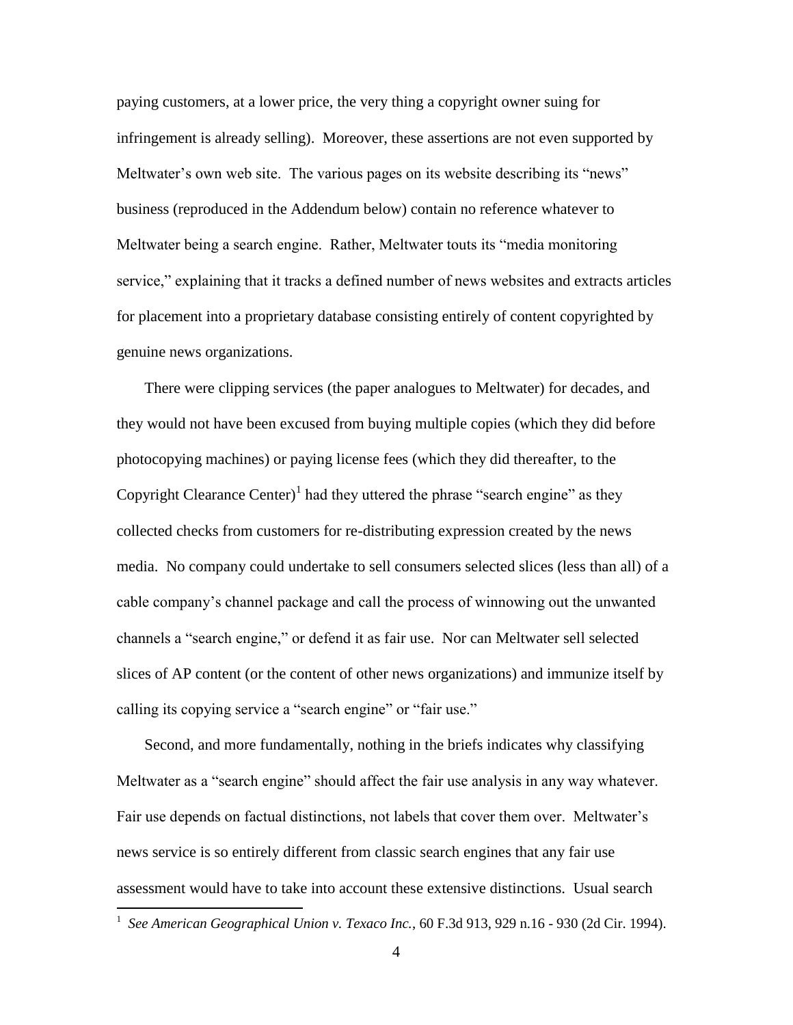paying customers, at a lower price, the very thing a copyright owner suing for infringement is already selling). Moreover, these assertions are not even supported by Meltwater's own web site. The various pages on its website describing its "news" business (reproduced in the Addendum below) contain no reference whatever to Meltwater being a search engine. Rather, Meltwater touts its "media monitoring service," explaining that it tracks a defined number of news websites and extracts articles for placement into a proprietary database consisting entirely of content copyrighted by genuine news organizations.

There were clipping services (the paper analogues to Meltwater) for decades, and they would not have been excused from buying multiple copies (which they did before photocopying machines) or paying license fees (which they did thereafter, to the Copyright Clearance Center)<sup>1</sup> had they uttered the phrase "search engine" as they collected checks from customers for re-distributing expression created by the news media. No company could undertake to sell consumers selected slices (less than all) of a cable company's channel package and call the process of winnowing out the unwanted channels a "search engine," or defend it as fair use. Nor can Meltwater sell selected slices of AP content (or the content of other news organizations) and immunize itself by calling its copying service a "search engine" or "fair use."

Second, and more fundamentally, nothing in the briefs indicates why classifying Meltwater as a "search engine" should affect the fair use analysis in any way whatever. Fair use depends on factual distinctions, not labels that cover them over. Meltwater's news service is so entirely different from classic search engines that any fair use assessment would have to take into account these extensive distinctions. Usual search

 $\overline{a}$ 

<span id="page-7-0"></span><sup>1</sup> *See American Geographical Union v. Texaco Inc.*, 60 F.3d 913, 929 n.16 - 930 (2d Cir. 1994).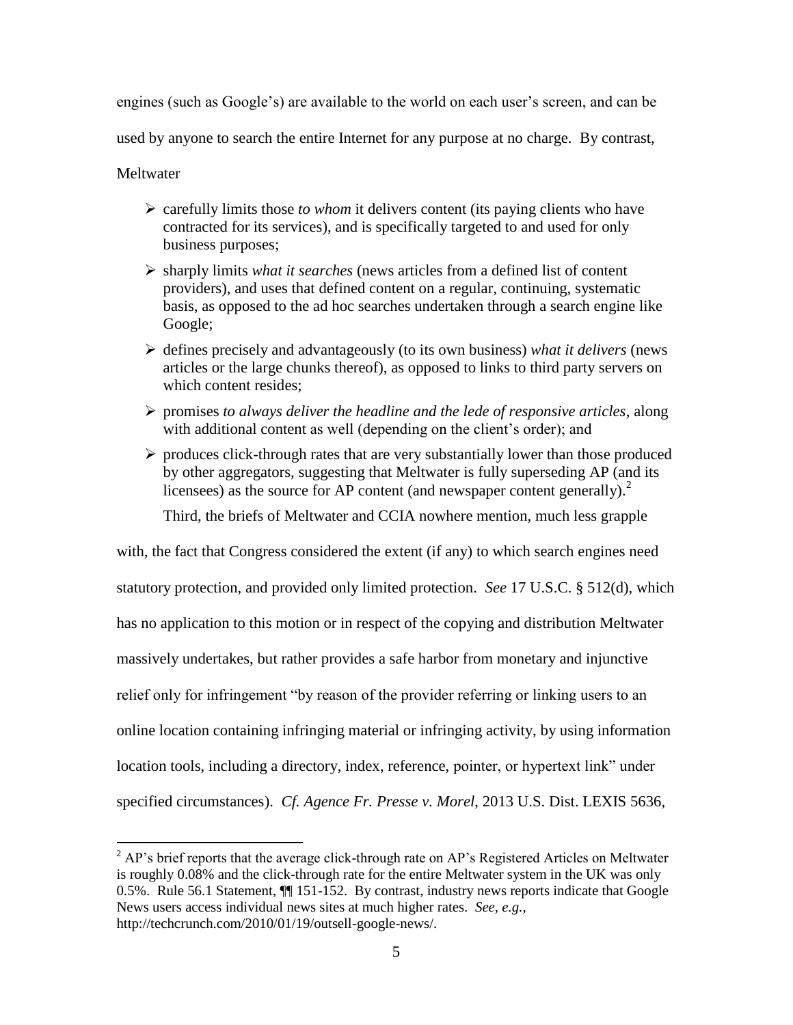engines (such as Google's) are available to the world on each user's screen, and can be

used by anyone to search the entire Internet for any purpose at no charge. By contrast,

**Meltwater** 

<span id="page-8-0"></span> $\overline{a}$ 

- carefully limits those *to whom* it delivers content (its paying clients who have contracted for its services), and is specifically targeted to and used for only business purposes;
- sharply limits *what it searches* (news articles from a defined list of content providers), and uses that defined content on a regular, continuing, systematic basis, as opposed to the ad hoc searches undertaken through a search engine like Google;
- defines precisely and advantageously (to its own business) *what it delivers* (news articles or the large chunks thereof), as opposed to links to third party servers on which content resides;
- promises *to always deliver the headline and the lede of responsive articles*, along with additional content as well (depending on the client's order); and
- $\triangleright$  produces click-through rates that are very substantially lower than those produced by other aggregators, suggesting that Meltwater is fully superseding AP (and its licensees) as the source for AP content (and newspaper content generally).<sup>2</sup>

<span id="page-8-1"></span>Third, the briefs of Meltwater and CCIA nowhere mention, much less grapple

with, the fact that Congress considered the extent (if any) to which search engines need statutory protection, and provided only limited protection. *See* 17 U.S.C. § 512(d), which has no application to this motion or in respect of the copying and distribution Meltwater massively undertakes, but rather provides a safe harbor from monetary and injunctive relief only for infringement "by reason of the provider referring or linking users to an online location containing infringing material or infringing activity, by using information location tools, including a directory, index, reference, pointer, or hypertext link" under specified circumstances). *Cf. Agence Fr. Presse v. Morel*, 2013 U.S. Dist. LEXIS 5636,

 $2^2$  AP's brief reports that the average click-through rate on AP's Registered Articles on Meltwater is roughly 0.08% and the click-through rate for the entire Meltwater system in the UK was only 0.5%. Rule 56.1 Statement, ¶¶ 151-152. By contrast, industry news reports indicate that Google News users access individual news sites at much higher rates. *See, e.g.,*  http://techcrunch.com/2010/01/19/outsell-google-news/.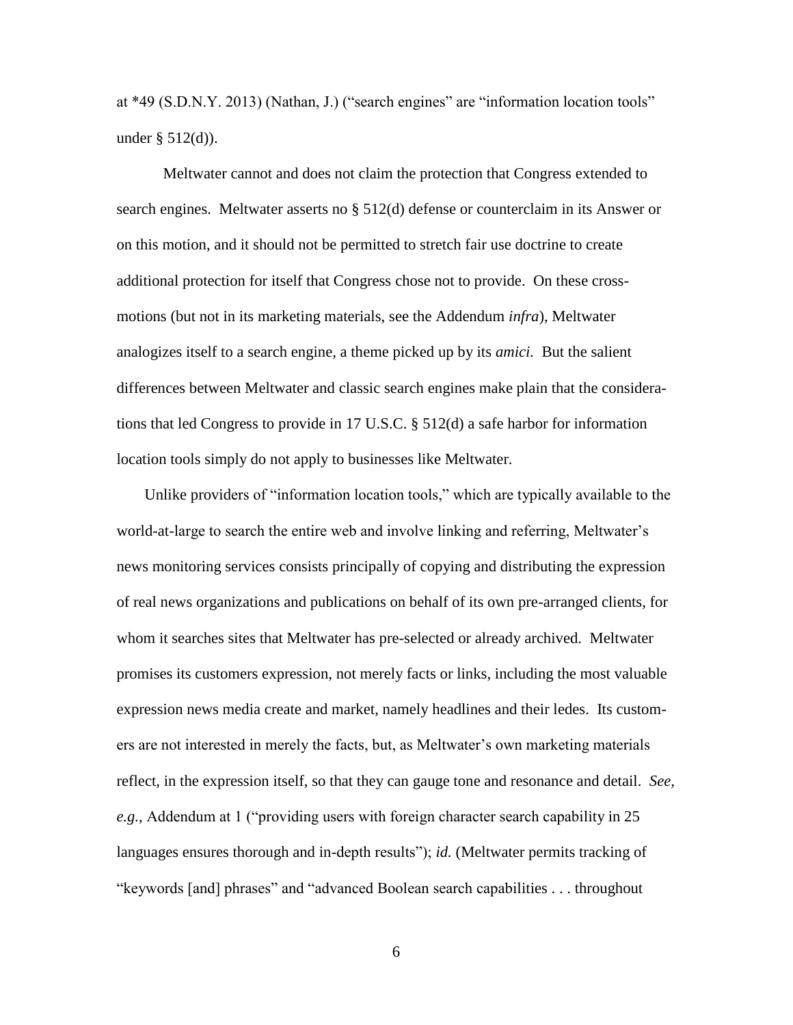at \*49 (S.D.N.Y. 2013) (Nathan, J.) ("search engines" are "information location tools" under § 512(d)).

<span id="page-9-0"></span>Meltwater cannot and does not claim the protection that Congress extended to search engines. Meltwater asserts no § 512(d) defense or counterclaim in its Answer or on this motion, and it should not be permitted to stretch fair use doctrine to create additional protection for itself that Congress chose not to provide. On these crossmotions (but not in its marketing materials, see the Addendum *infra*), Meltwater analogizes itself to a search engine, a theme picked up by its *amici.* But the salient differences between Meltwater and classic search engines make plain that the considerations that led Congress to provide in 17 U.S.C. § 512(d) a safe harbor for information location tools simply do not apply to businesses like Meltwater.

Unlike providers of "information location tools," which are typically available to the world-at-large to search the entire web and involve linking and referring, Meltwater's news monitoring services consists principally of copying and distributing the expression of real news organizations and publications on behalf of its own pre-arranged clients, for whom it searches sites that Meltwater has pre-selected or already archived. Meltwater promises its customers expression, not merely facts or links, including the most valuable expression news media create and market, namely headlines and their ledes. Its customers are not interested in merely the facts, but, as Meltwater's own marketing materials reflect, in the expression itself, so that they can gauge tone and resonance and detail. *See, e.g.,* Addendum at 1 ("providing users with foreign character search capability in 25 languages ensures thorough and in-depth results"); *id.* (Meltwater permits tracking of "keywords [and] phrases" and "advanced Boolean search capabilities . . . throughout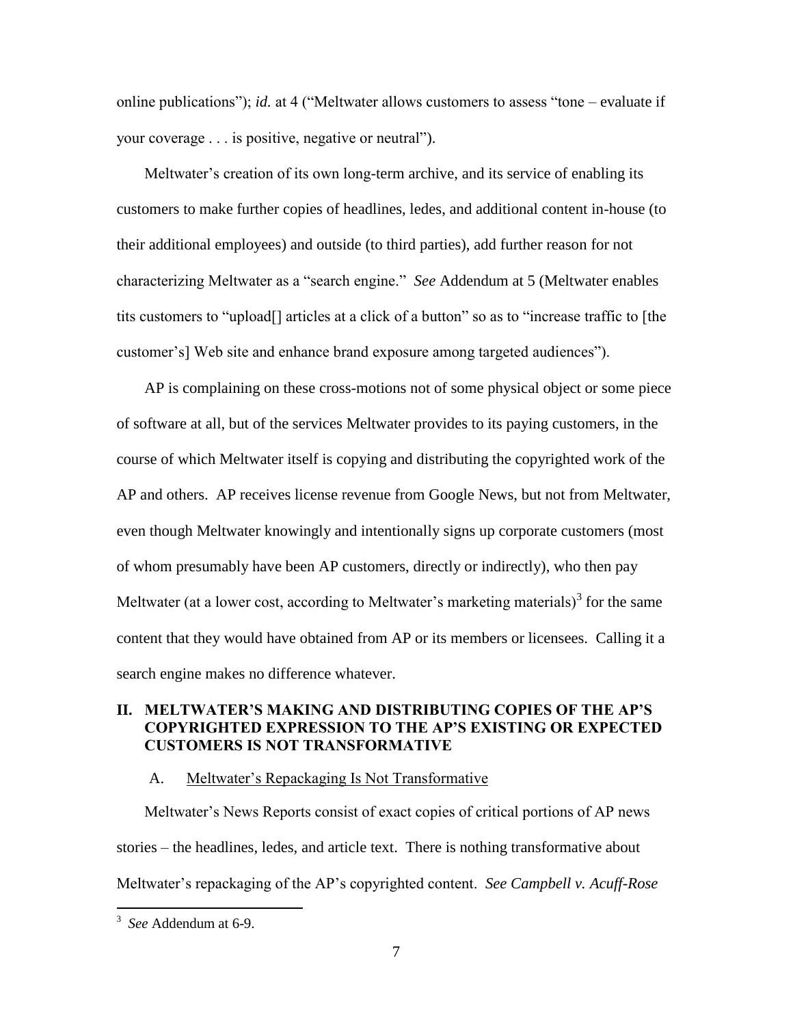online publications"); *id.* at 4 ("Meltwater allows customers to assess "tone – evaluate if your coverage . . . is positive, negative or neutral").

Meltwater's creation of its own long-term archive, and its service of enabling its customers to make further copies of headlines, ledes, and additional content in-house (to their additional employees) and outside (to third parties), add further reason for not characterizing Meltwater as a "search engine." *See* Addendum at 5 (Meltwater enables tits customers to "upload[] articles at a click of a button" so as to "increase traffic to [the customer's] Web site and enhance brand exposure among targeted audiences").

AP is complaining on these cross-motions not of some physical object or some piece of software at all, but of the services Meltwater provides to its paying customers, in the course of which Meltwater itself is copying and distributing the copyrighted work of the AP and others. AP receives license revenue from Google News, but not from Meltwater, even though Meltwater knowingly and intentionally signs up corporate customers (most of whom presumably have been AP customers, directly or indirectly), who then pay Meltwater (at a lower cost, according to Meltwater's marketing materials) $3$  for the same content that they would have obtained from AP or its members or licensees. Calling it a search engine makes no difference whatever.

## **II. MELTWATER'S MAKING AND DISTRIBUTING COPIES OF THE AP'S COPYRIGHTED EXPRESSION TO THE AP'S EXISTING OR EXPECTED CUSTOMERS IS NOT TRANSFORMATIVE**

### <span id="page-10-0"></span>A. Meltwater's Repackaging Is Not Transformative

Meltwater's News Reports consist of exact copies of critical portions of AP news stories – the headlines, ledes, and article text. There is nothing transformative about Meltwater's repackaging of the AP's copyrighted content. *See Campbell v. Acuff-Rose* 

 $\overline{a}$ 

<sup>3</sup> *See* Addendum at 6-9.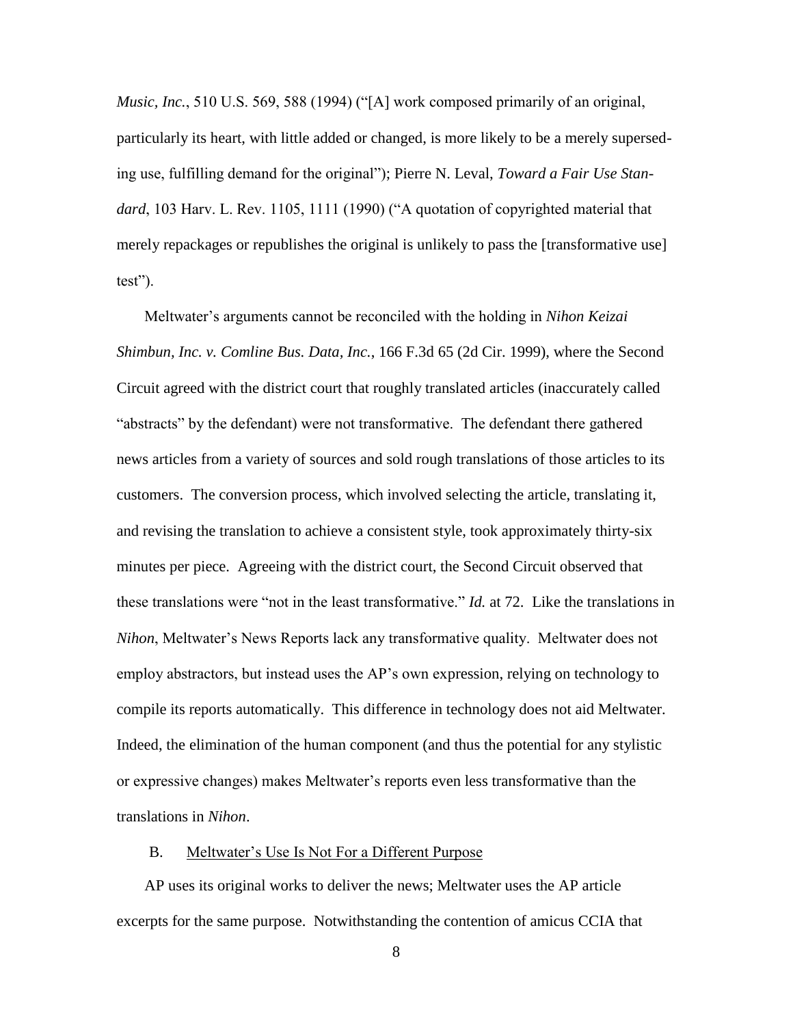*Music, Inc.*, 510 U.S. 569, 588 (1994) ("[A] work composed primarily of an original, particularly its heart, with little added or changed, is more likely to be a merely superseding use, fulfilling demand for the original"); Pierre N. Leval, *Toward a Fair Use Standard*, 103 Harv. L. Rev. 1105, 1111 (1990) ("A quotation of copyrighted material that merely repackages or republishes the original is unlikely to pass the [transformative use] test").

<span id="page-11-0"></span>Meltwater's arguments cannot be reconciled with the holding in *Nihon Keizai Shimbun, Inc. v. Comline Bus. Data, Inc.*, 166 F.3d 65 (2d Cir. 1999), where the Second Circuit agreed with the district court that roughly translated articles (inaccurately called "abstracts" by the defendant) were not transformative. The defendant there gathered news articles from a variety of sources and sold rough translations of those articles to its customers. The conversion process, which involved selecting the article, translating it, and revising the translation to achieve a consistent style, took approximately thirty-six minutes per piece. Agreeing with the district court, the Second Circuit observed that these translations were "not in the least transformative." *Id.* at 72. Like the translations in *Nihon*, Meltwater's News Reports lack any transformative quality. Meltwater does not employ abstractors, but instead uses the AP's own expression, relying on technology to compile its reports automatically. This difference in technology does not aid Meltwater. Indeed, the elimination of the human component (and thus the potential for any stylistic or expressive changes) makes Meltwater's reports even less transformative than the translations in *Nihon*.

#### B. Meltwater's Use Is Not For a Different Purpose

AP uses its original works to deliver the news; Meltwater uses the AP article excerpts for the same purpose. Notwithstanding the contention of amicus CCIA that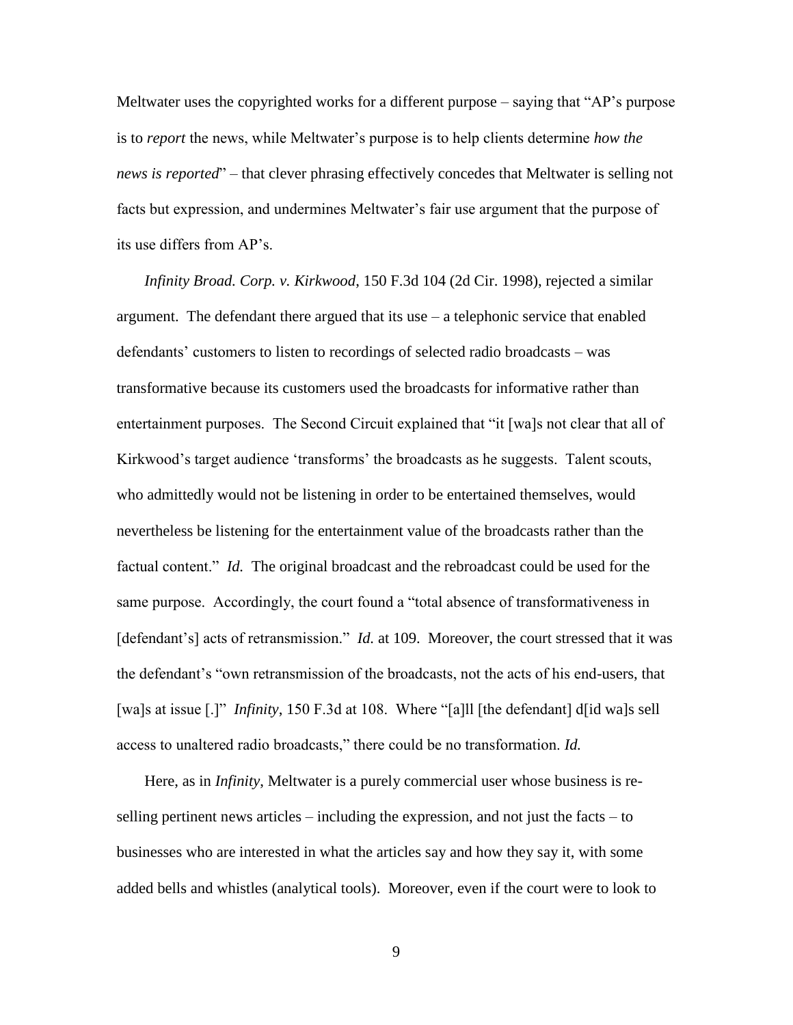Meltwater uses the copyrighted works for a different purpose – saying that "AP's purpose is to *report* the news, while Meltwater's purpose is to help clients determine *how the news is reported*" – that clever phrasing effectively concedes that Meltwater is selling not facts but expression, and undermines Meltwater's fair use argument that the purpose of its use differs from AP's.

<span id="page-12-0"></span>*Infinity Broad. Corp. v. Kirkwood*, 150 F.3d 104 (2d Cir. 1998), rejected a similar argument. The defendant there argued that its use – a telephonic service that enabled defendants' customers to listen to recordings of selected radio broadcasts – was transformative because its customers used the broadcasts for informative rather than entertainment purposes. The Second Circuit explained that "it [wa]s not clear that all of Kirkwood's target audience 'transforms' the broadcasts as he suggests. Talent scouts, who admittedly would not be listening in order to be entertained themselves, would nevertheless be listening for the entertainment value of the broadcasts rather than the factual content." *Id.* The original broadcast and the rebroadcast could be used for the same purpose. Accordingly, the court found a "total absence of transformativeness in [defendant's] acts of retransmission." *Id.* at 109. Moreover, the court stressed that it was the defendant's "own retransmission of the broadcasts, not the acts of his end-users, that [wa]s at issue [.]" *Infinity*, 150 F.3d at 108. Where "[a] [[the defendant] d[id wa]s sell access to unaltered radio broadcasts," there could be no transformation. *Id.*

Here, as in *Infinity*, Meltwater is a purely commercial user whose business is reselling pertinent news articles – including the expression, and not just the facts – to businesses who are interested in what the articles say and how they say it, with some added bells and whistles (analytical tools). Moreover, even if the court were to look to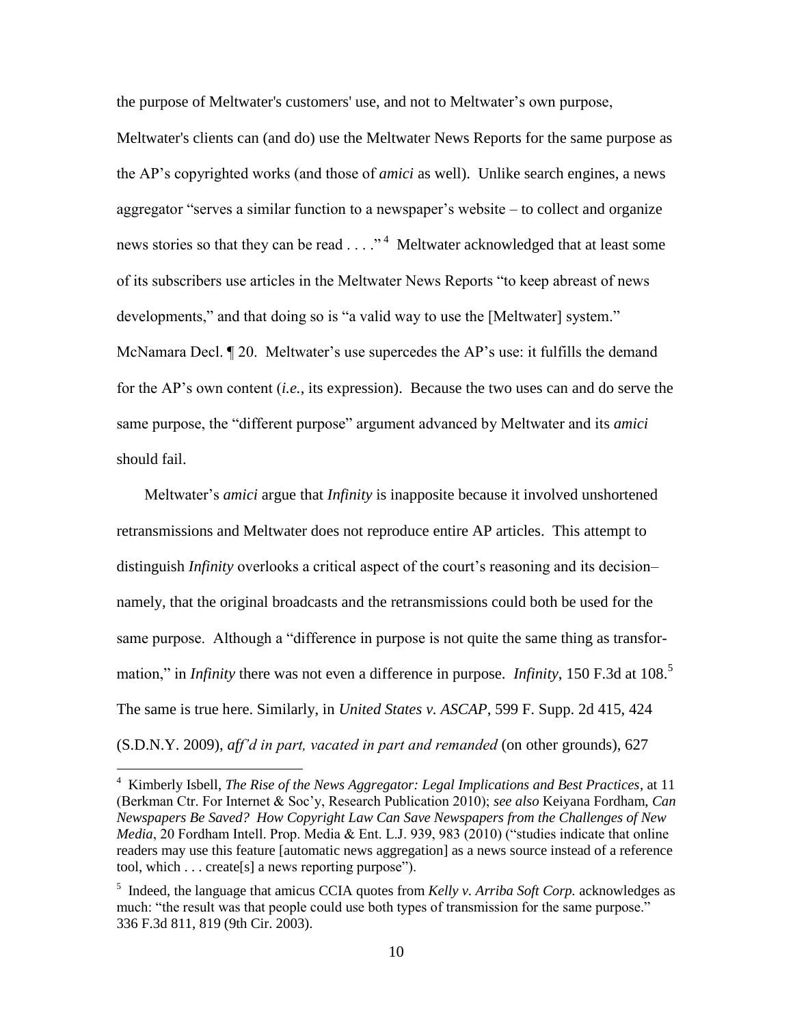the purpose of Meltwater's customers' use, and not to Meltwater's own purpose,

Meltwater's clients can (and do) use the Meltwater News Reports for the same purpose as the AP's copyrighted works (and those of *amici* as well). Unlike search engines, a news aggregator "serves a similar function to a newspaper's website – to collect and organize news stories so that they can be read . . . ."<sup>4</sup> Meltwater acknowledged that at least some of its subscribers use articles in the Meltwater News Reports "to keep abreast of news developments," and that doing so is "a valid way to use the [Meltwater] system." McNamara Decl. ¶ 20. Meltwater's use supercedes the AP's use: it fulfills the demand for the AP's own content (*i.e.*, its expression). Because the two uses can and do serve the same purpose, the "different purpose" argument advanced by Meltwater and its *amici* should fail.

Meltwater's *amici* argue that *Infinity* is inapposite because it involved unshortened retransmissions and Meltwater does not reproduce entire AP articles. This attempt to distinguish *Infinity* overlooks a critical aspect of the court's reasoning and its decision– namely, that the original broadcasts and the retransmissions could both be used for the same purpose. Although a "difference in purpose is not quite the same thing as transformation," in *Infinity* there was not even a difference in purpose. *Infinity*, 150 F.3d at 108.<sup>5</sup> The same is true here. Similarly, in *United States v. ASCAP*, 599 F. Supp. 2d 415, 424 (S.D.N.Y. 2009), *aff'd in part, vacated in part and remanded* (on other grounds), 627

<span id="page-13-2"></span><span id="page-13-0"></span> $\overline{a}$ 

<sup>4</sup> Kimberly Isbell, *The Rise of the News Aggregator: Legal Implications and Best Practices*, at 11 (Berkman Ctr. For Internet & Soc'y, Research Publication 2010); *see also* Keiyana Fordham, *Can Newspapers Be Saved? How Copyright Law Can Save Newspapers from the Challenges of New Media*, 20 Fordham Intell. Prop. Media & Ent. L.J. 939, 983 (2010) ("studies indicate that online readers may use this feature [automatic news aggregation] as a news source instead of a reference tool, which . . . create[s] a news reporting purpose").

<span id="page-13-1"></span><sup>&</sup>lt;sup>5</sup> Indeed, the language that amicus CCIA quotes from *Kelly v. Arriba Soft Corp*. acknowledges as much: "the result was that people could use both types of transmission for the same purpose." 336 F.3d 811, 819 (9th Cir. 2003).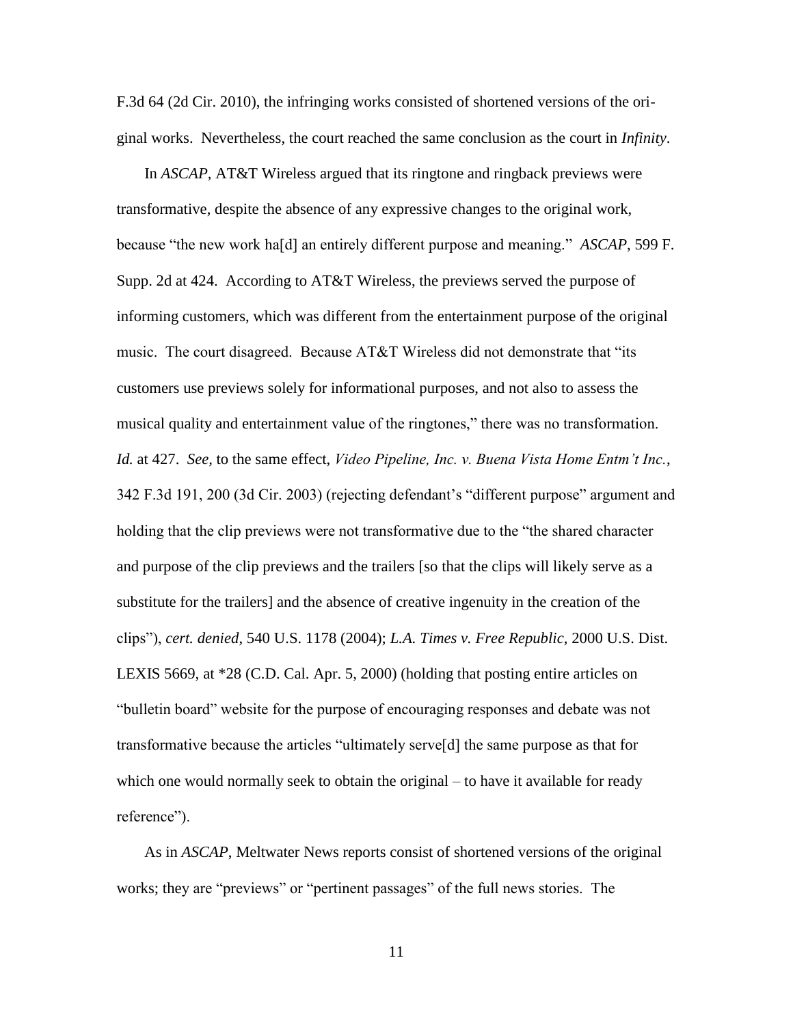F.3d 64 (2d Cir. 2010), the infringing works consisted of shortened versions of the original works. Nevertheless, the court reached the same conclusion as the court in *Infinity*.

<span id="page-14-2"></span><span id="page-14-1"></span>In *ASCAP*, AT&T Wireless argued that its ringtone and ringback previews were transformative, despite the absence of any expressive changes to the original work, because "the new work ha[d] an entirely different purpose and meaning." *ASCAP*, 599 F. Supp. 2d at 424. According to AT&T Wireless, the previews served the purpose of informing customers, which was different from the entertainment purpose of the original music. The court disagreed. Because AT&T Wireless did not demonstrate that "its customers use previews solely for informational purposes, and not also to assess the musical quality and entertainment value of the ringtones," there was no transformation. *Id.* at 427. *See,* to the same effect, *Video Pipeline, Inc. v. Buena Vista Home Entm't Inc.*, 342 F.3d 191, 200 (3d Cir. 2003) (rejecting defendant's "different purpose" argument and holding that the clip previews were not transformative due to the "the shared character and purpose of the clip previews and the trailers [so that the clips will likely serve as a substitute for the trailers] and the absence of creative ingenuity in the creation of the clips"), *cert. denied*, 540 U.S. 1178 (2004); *L.A. Times v. Free Republic*, 2000 U.S. Dist. LEXIS 5669, at \*28 (C.D. Cal. Apr. 5, 2000) (holding that posting entire articles on "bulletin board" website for the purpose of encouraging responses and debate was not transformative because the articles "ultimately serve[d] the same purpose as that for which one would normally seek to obtain the original – to have it available for ready reference").

<span id="page-14-0"></span>As in *ASCAP*, Meltwater News reports consist of shortened versions of the original works; they are "previews" or "pertinent passages" of the full news stories. The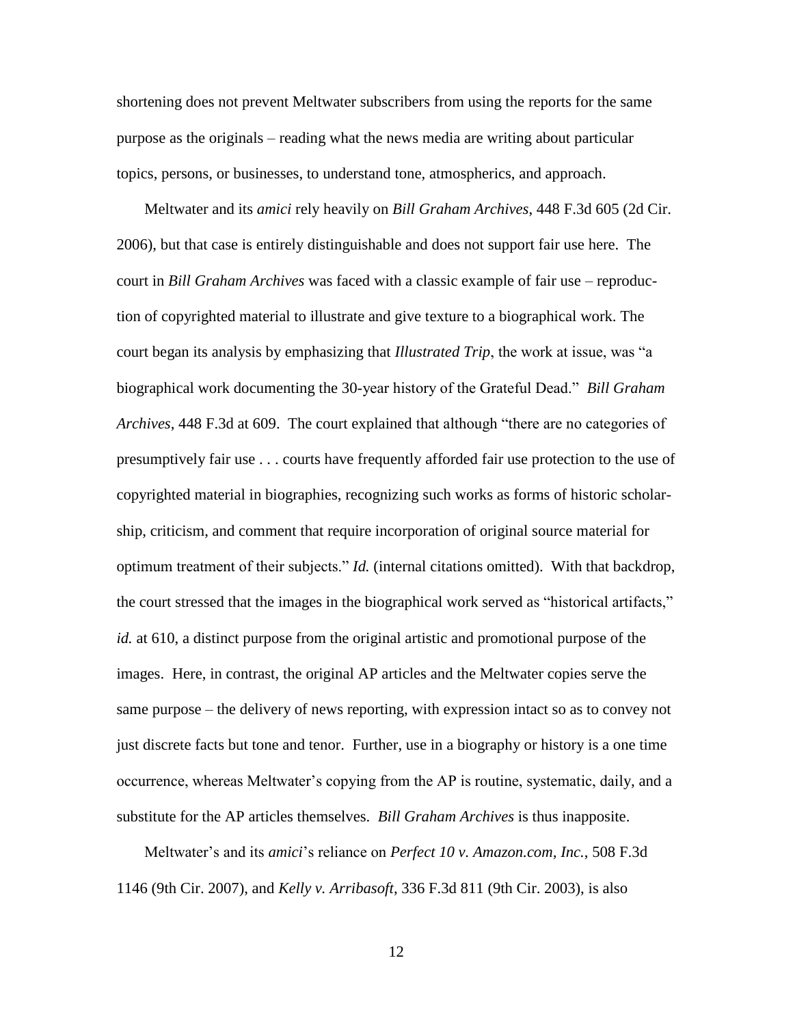shortening does not prevent Meltwater subscribers from using the reports for the same purpose as the originals – reading what the news media are writing about particular topics, persons, or businesses, to understand tone, atmospherics, and approach.

Meltwater and its *amici* rely heavily on *Bill Graham Archives*, 448 F.3d 605 (2d Cir. 2006), but that case is entirely distinguishable and does not support fair use here. The court in *Bill Graham Archives* was faced with a classic example of fair use – reproduction of copyrighted material to illustrate and give texture to a biographical work. The court began its analysis by emphasizing that *Illustrated Trip*, the work at issue, was "a biographical work documenting the 30-year history of the Grateful Dead." *Bill Graham Archives*, 448 F.3d at 609. The court explained that although "there are no categories of presumptively fair use . . . courts have frequently afforded fair use protection to the use of copyrighted material in biographies, recognizing such works as forms of historic scholarship, criticism, and comment that require incorporation of original source material for optimum treatment of their subjects." *Id.* (internal citations omitted). With that backdrop, the court stressed that the images in the biographical work served as "historical artifacts," *id.* at 610, a distinct purpose from the original artistic and promotional purpose of the images. Here, in contrast, the original AP articles and the Meltwater copies serve the same purpose – the delivery of news reporting, with expression intact so as to convey not just discrete facts but tone and tenor. Further, use in a biography or history is a one time occurrence, whereas Meltwater's copying from the AP is routine, systematic, daily, and a substitute for the AP articles themselves. *Bill Graham Archives* is thus inapposite.

<span id="page-15-2"></span><span id="page-15-1"></span><span id="page-15-0"></span>Meltwater's and its *amici*'s reliance on *Perfect 10 v. Amazon.com, Inc.*, 508 F.3d 1146 (9th Cir. 2007), and *Kelly v. Arribasoft*, 336 F.3d 811 (9th Cir. 2003), is also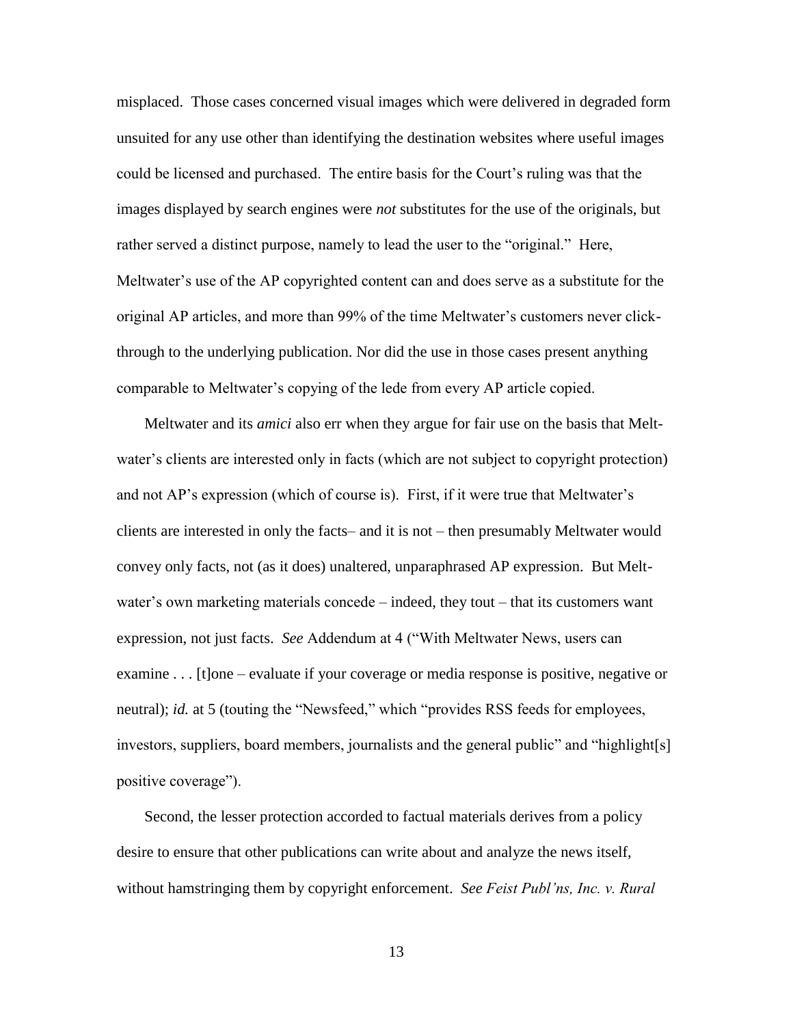misplaced. Those cases concerned visual images which were delivered in degraded form unsuited for any use other than identifying the destination websites where useful images could be licensed and purchased. The entire basis for the Court's ruling was that the images displayed by search engines were *not* substitutes for the use of the originals, but rather served a distinct purpose, namely to lead the user to the "original." Here, Meltwater's use of the AP copyrighted content can and does serve as a substitute for the original AP articles, and more than 99% of the time Meltwater's customers never clickthrough to the underlying publication. Nor did the use in those cases present anything comparable to Meltwater's copying of the lede from every AP article copied.

Meltwater and its *amici* also err when they argue for fair use on the basis that Meltwater's clients are interested only in facts (which are not subject to copyright protection) and not AP's expression (which of course is). First, if it were true that Meltwater's clients are interested in only the facts– and it is not – then presumably Meltwater would convey only facts, not (as it does) unaltered, unparaphrased AP expression. But Meltwater's own marketing materials concede – indeed, they tout – that its customers want expression, not just facts. *See* Addendum at 4 ("With Meltwater News, users can examine . . . [t]one – evaluate if your coverage or media response is positive, negative or neutral); *id.* at 5 (touting the "Newsfeed," which "provides RSS feeds for employees, investors, suppliers, board members, journalists and the general public" and "highlight[s] positive coverage").

<span id="page-16-0"></span>Second, the lesser protection accorded to factual materials derives from a policy desire to ensure that other publications can write about and analyze the news itself, without hamstringing them by copyright enforcement. *See Feist Publ'ns, Inc. v. Rural*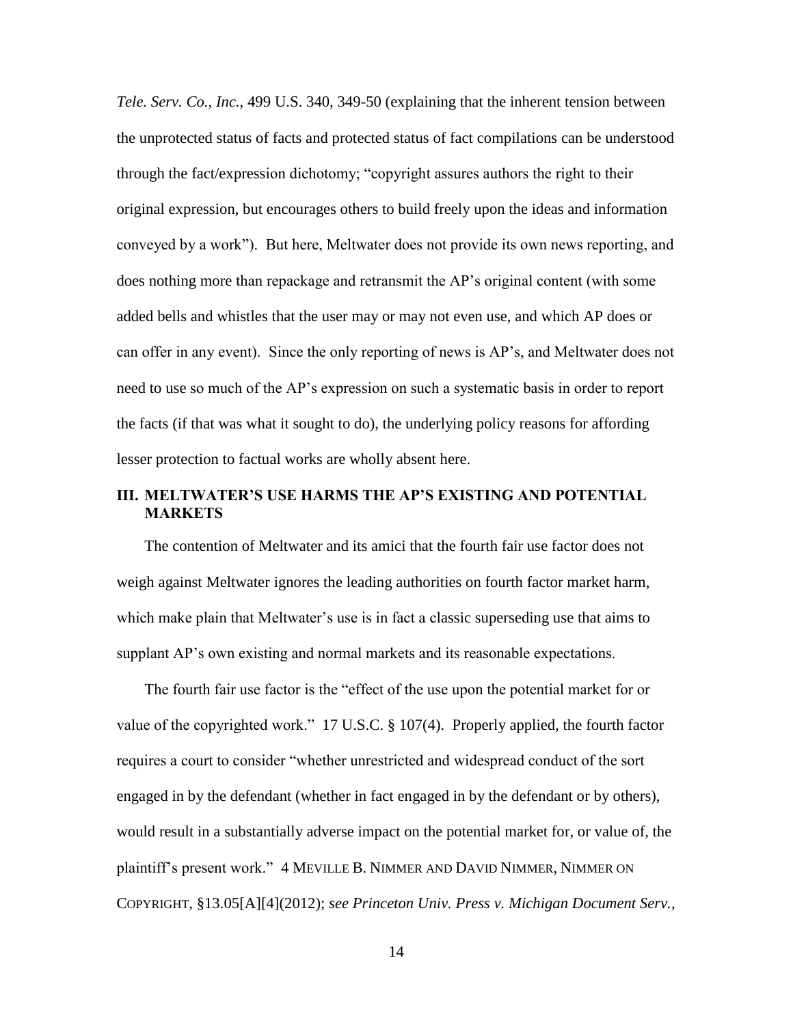*Tele. Serv. Co., Inc.*, 499 U.S. 340, 349-50 (explaining that the inherent tension between the unprotected status of facts and protected status of fact compilations can be understood through the fact/expression dichotomy; "copyright assures authors the right to their original expression, but encourages others to build freely upon the ideas and information conveyed by a work"). But here, Meltwater does not provide its own news reporting, and does nothing more than repackage and retransmit the AP's original content (with some added bells and whistles that the user may or may not even use, and which AP does or can offer in any event). Since the only reporting of news is AP's, and Meltwater does not need to use so much of the AP's expression on such a systematic basis in order to report the facts (if that was what it sought to do), the underlying policy reasons for affording lesser protection to factual works are wholly absent here.

### **III. MELTWATER'S USE HARMS THE AP'S EXISTING AND POTENTIAL MARKETS**

The contention of Meltwater and its amici that the fourth fair use factor does not weigh against Meltwater ignores the leading authorities on fourth factor market harm, which make plain that Meltwater's use is in fact a classic superseding use that aims to supplant AP's own existing and normal markets and its reasonable expectations.

<span id="page-17-0"></span>The fourth fair use factor is the "effect of the use upon the potential market for or value of the copyrighted work." 17 U.S.C. § 107(4). Properly applied, the fourth factor requires a court to consider "whether unrestricted and widespread conduct of the sort engaged in by the defendant (whether in fact engaged in by the defendant or by others), would result in a substantially adverse impact on the potential market for, or value of, the plaintiff's present work." 4 MEVILLE B. NIMMER AND DAVID NIMMER, NIMMER ON COPYRIGHT, §13.05[A][4](2012); *see Princeton Univ. Press v. Michigan Document Serv.,*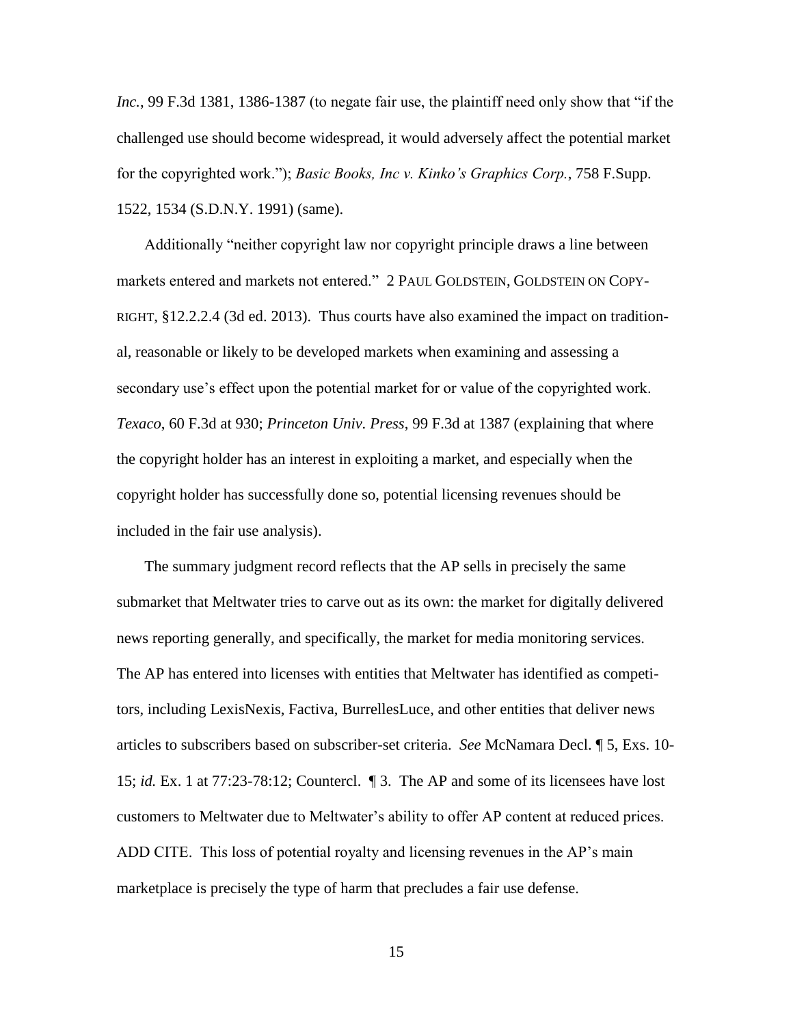<span id="page-18-1"></span>*Inc.*, 99 F.3d 1381, 1386-1387 (to negate fair use, the plaintiff need only show that "if the challenged use should become widespread, it would adversely affect the potential market for the copyrighted work."); *Basic Books, Inc v. Kinko's Graphics Corp.*, 758 F.Supp. 1522, 1534 (S.D.N.Y. 1991) (same).

Additionally "neither copyright law nor copyright principle draws a line between markets entered and markets not entered." 2 PAUL GOLDSTEIN, GOLDSTEIN ON COPY-RIGHT, §12.2.2.4 (3d ed. 2013). Thus courts have also examined the impact on traditional, reasonable or likely to be developed markets when examining and assessing a secondary use's effect upon the potential market for or value of the copyrighted work. *Texaco*, 60 F.3d at 930; *Princeton Univ. Press*, 99 F.3d at 1387 (explaining that where the copyright holder has an interest in exploiting a market, and especially when the copyright holder has successfully done so, potential licensing revenues should be included in the fair use analysis).

<span id="page-18-0"></span>The summary judgment record reflects that the AP sells in precisely the same submarket that Meltwater tries to carve out as its own: the market for digitally delivered news reporting generally, and specifically, the market for media monitoring services. The AP has entered into licenses with entities that Meltwater has identified as competitors, including LexisNexis, Factiva, BurrellesLuce, and other entities that deliver news articles to subscribers based on subscriber-set criteria. *See* McNamara Decl. ¶ 5, Exs. 10- 15; *id.* Ex. 1 at 77:23-78:12; Countercl. ¶ 3. The AP and some of its licensees have lost customers to Meltwater due to Meltwater's ability to offer AP content at reduced prices. ADD CITE. This loss of potential royalty and licensing revenues in the AP's main marketplace is precisely the type of harm that precludes a fair use defense.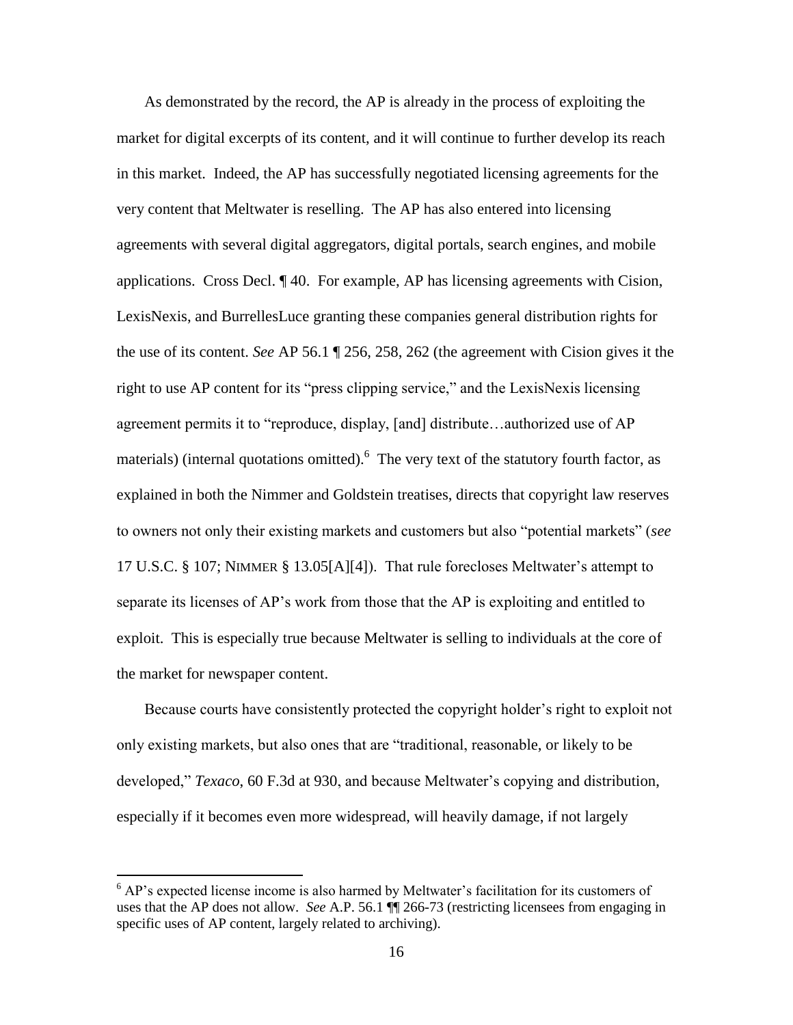As demonstrated by the record, the AP is already in the process of exploiting the market for digital excerpts of its content, and it will continue to further develop its reach in this market. Indeed, the AP has successfully negotiated licensing agreements for the very content that Meltwater is reselling. The AP has also entered into licensing agreements with several digital aggregators, digital portals, search engines, and mobile applications. Cross Decl. ¶ 40. For example, AP has licensing agreements with Cision, LexisNexis, and BurrellesLuce granting these companies general distribution rights for the use of its content. *See* AP 56.1 ¶ 256, 258, 262 (the agreement with Cision gives it the right to use AP content for its "press clipping service," and the LexisNexis licensing agreement permits it to "reproduce, display, [and] distribute…authorized use of AP materials) (internal quotations omitted). <sup>6</sup> The very text of the statutory fourth factor, as explained in both the Nimmer and Goldstein treatises, directs that copyright law reserves to owners not only their existing markets and customers but also "potential markets" (*see* 17 U.S.C. § 107; NIMMER § 13.05[A][4]). That rule forecloses Meltwater's attempt to separate its licenses of AP's work from those that the AP is exploiting and entitled to exploit. This is especially true because Meltwater is selling to individuals at the core of the market for newspaper content.

<span id="page-19-1"></span><span id="page-19-0"></span>Because courts have consistently protected the copyright holder's right to exploit not only existing markets, but also ones that are "traditional, reasonable, or likely to be developed," *Texaco*, 60 F.3d at 930, and because Meltwater's copying and distribution, especially if it becomes even more widespread, will heavily damage, if not largely

 $\overline{a}$ 

 $6$  AP's expected license income is also harmed by Meltwater's facilitation for its customers of uses that the AP does not allow. *See* A.P. 56.1 ¶¶ 266-73 (restricting licensees from engaging in specific uses of AP content, largely related to archiving).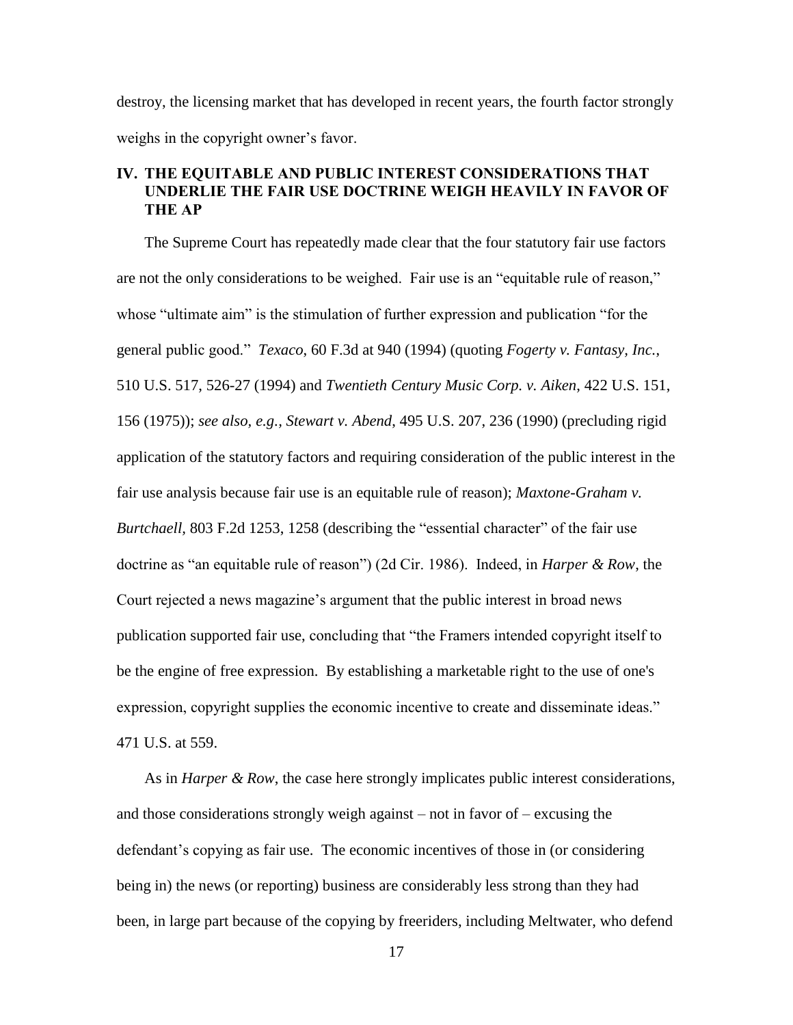destroy, the licensing market that has developed in recent years, the fourth factor strongly weighs in the copyright owner's favor.

# **IV. THE EQUITABLE AND PUBLIC INTEREST CONSIDERATIONS THAT UNDERLIE THE FAIR USE DOCTRINE WEIGH HEAVILY IN FAVOR OF THE AP**

<span id="page-20-1"></span><span id="page-20-0"></span>The Supreme Court has repeatedly made clear that the four statutory fair use factors are not the only considerations to be weighed. Fair use is an "equitable rule of reason," whose "ultimate aim" is the stimulation of further expression and publication "for the general public good." *Texaco*, 60 F.3d at 940 (1994) (quoting *Fogerty v. Fantasy, Inc.*, 510 U.S. 517, 526-27 (1994) and *Twentieth Century Music Corp. v. Aiken*, 422 U.S. 151, 156 (1975)); *see also, e.g., Stewart v. Abend*, 495 U.S. 207, 236 (1990) (precluding rigid application of the statutory factors and requiring consideration of the public interest in the fair use analysis because fair use is an equitable rule of reason); *Maxtone-Graham v. Burtchaell,* 803 F.2d 1253, 1258 (describing the "essential character" of the fair use doctrine as "an equitable rule of reason") (2d Cir. 1986). Indeed, in *Harper & Row*, the Court rejected a news magazine's argument that the public interest in broad news publication supported fair use, concluding that "the Framers intended copyright itself to be the engine of free expression. By establishing a marketable right to the use of one's expression, copyright supplies the economic incentive to create and disseminate ideas." 471 U.S. at 559.

As in *Harper & Row*, the case here strongly implicates public interest considerations, and those considerations strongly weigh against – not in favor of – excusing the defendant's copying as fair use. The economic incentives of those in (or considering being in) the news (or reporting) business are considerably less strong than they had been, in large part because of the copying by freeriders, including Meltwater, who defend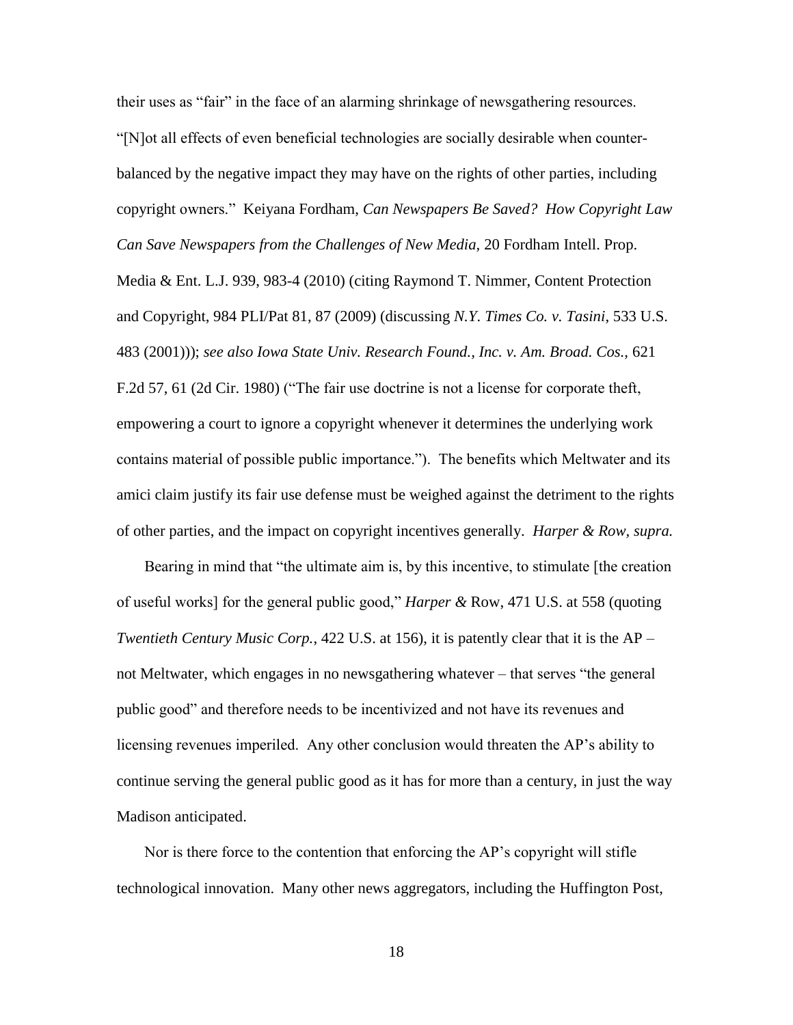<span id="page-21-1"></span>their uses as "fair" in the face of an alarming shrinkage of newsgathering resources. "[N]ot all effects of even beneficial technologies are socially desirable when counterbalanced by the negative impact they may have on the rights of other parties, including copyright owners." Keiyana Fordham, *Can Newspapers Be Saved? How Copyright Law Can Save Newspapers from the Challenges of New Media,* 20 Fordham Intell. Prop. Media & Ent. L.J. 939, 983-4 (2010) (citing Raymond T. Nimmer, Content Protection and Copyright, 984 PLI/Pat 81, 87 (2009) (discussing *N.Y. Times Co. v. Tasini*, 533 U.S. 483 (2001))); *see also Iowa State Univ. Research Found., Inc. v. Am. Broad. Cos.,* 621 F.2d 57, 61 (2d Cir. 1980) ("The fair use doctrine is not a license for corporate theft, empowering a court to ignore a copyright whenever it determines the underlying work contains material of possible public importance."). The benefits which Meltwater and its amici claim justify its fair use defense must be weighed against the detriment to the rights of other parties, and the impact on copyright incentives generally. *Harper & Row, supra.*

<span id="page-21-0"></span>Bearing in mind that "the ultimate aim is, by this incentive, to stimulate [the creation of useful works] for the general public good," *Harper &* Row, 471 U.S. at 558 (quoting *Twentieth Century Music Corp.*, 422 U.S. at 156), it is patently clear that it is the AP – not Meltwater, which engages in no newsgathering whatever – that serves "the general public good" and therefore needs to be incentivized and not have its revenues and licensing revenues imperiled. Any other conclusion would threaten the AP's ability to continue serving the general public good as it has for more than a century, in just the way Madison anticipated.

Nor is there force to the contention that enforcing the AP's copyright will stifle technological innovation. Many other news aggregators, including the Huffington Post,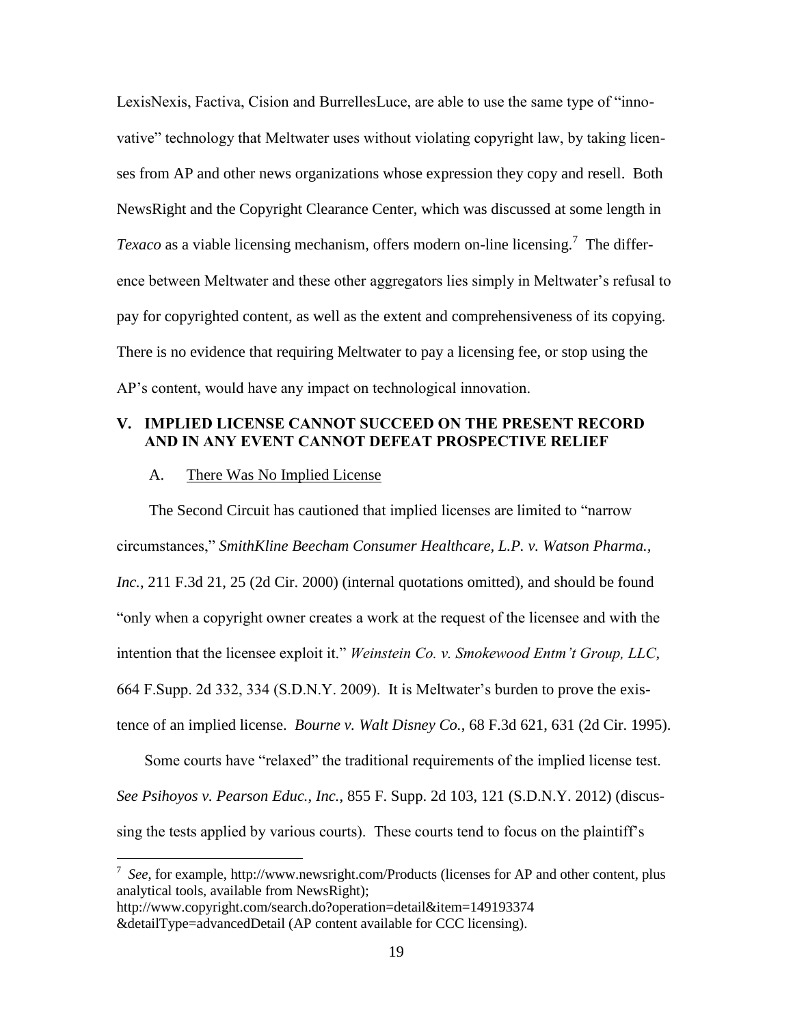LexisNexis, Factiva, Cision and BurrellesLuce, are able to use the same type of "innovative" technology that Meltwater uses without violating copyright law, by taking licenses from AP and other news organizations whose expression they copy and resell. Both NewsRight and the Copyright Clearance Center, which was discussed at some length in *Texaco* as a viable licensing mechanism, offers modern on-line licensing.<sup>7</sup> The difference between Meltwater and these other aggregators lies simply in Meltwater's refusal to pay for copyrighted content, as well as the extent and comprehensiveness of its copying. There is no evidence that requiring Meltwater to pay a licensing fee, or stop using the AP's content, would have any impact on technological innovation.

### **V. IMPLIED LICENSE CANNOT SUCCEED ON THE PRESENT RECORD AND IN ANY EVENT CANNOT DEFEAT PROSPECTIVE RELIEF**

#### <span id="page-22-2"></span>A. There Was No Implied License

The Second Circuit has cautioned that implied licenses are limited to "narrow circumstances," *SmithKline Beecham Consumer Healthcare, L.P. v. Watson Pharma., Inc.*, 211 F.3d 21, 25 (2d Cir. 2000) (internal quotations omitted), and should be found "only when a copyright owner creates a work at the request of the licensee and with the intention that the licensee exploit it." *Weinstein Co. v. Smokewood Entm't Group, LLC*, 664 F.Supp. 2d 332, 334 (S.D.N.Y. 2009). It is Meltwater's burden to prove the existence of an implied license. *Bourne v. Walt Disney Co.*, 68 F.3d 621, 631 (2d Cir. 1995).

<span id="page-22-3"></span><span id="page-22-1"></span><span id="page-22-0"></span>Some courts have "relaxed" the traditional requirements of the implied license test. *See Psihoyos v. Pearson Educ., Inc.*, 855 F. Supp. 2d 103, 121 (S.D.N.Y. 2012) (discussing the tests applied by various courts). These courts tend to focus on the plaintiff's

7 *See*, for example, http://www.newsright.com/Products (licenses for AP and other content, plus analytical tools, available from NewsRight); http://www.copyright.com/search.do?operation=detail&item=149193374

&detailType=advancedDetail (AP content available for CCC licensing).

 $\overline{a}$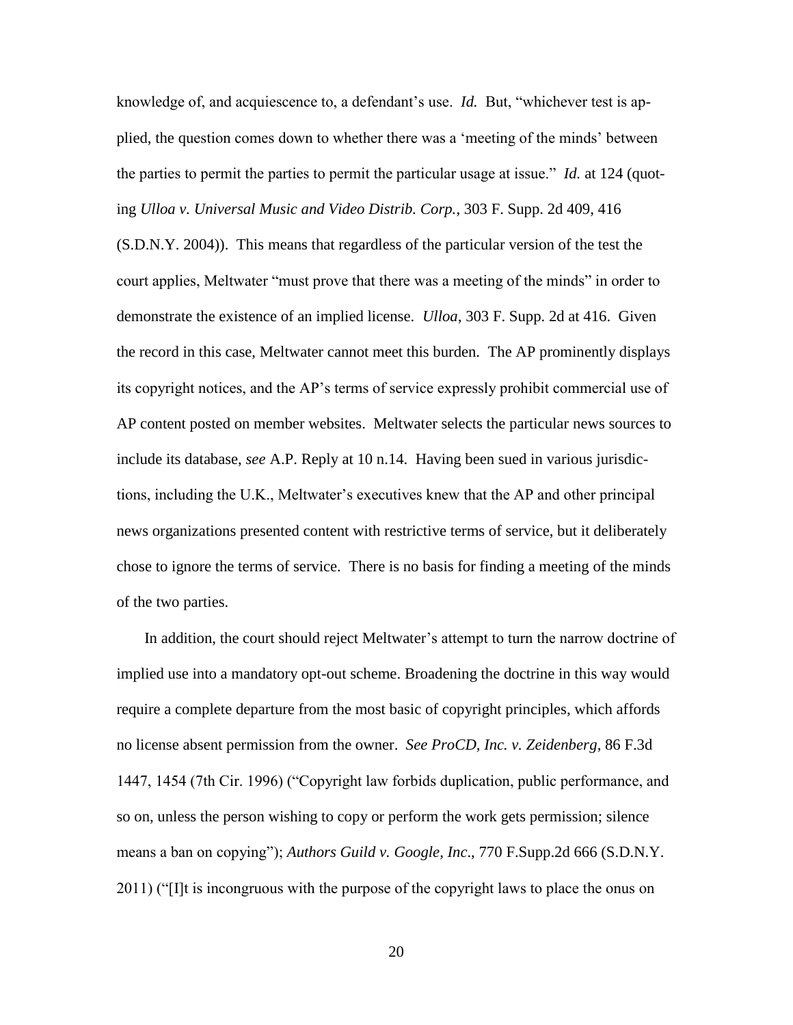<span id="page-23-2"></span>knowledge of, and acquiescence to, a defendant's use. *Id.* But, "whichever test is applied, the question comes down to whether there was a 'meeting of the minds' between the parties to permit the parties to permit the particular usage at issue." *Id.* at 124 (quoting *Ulloa v. Universal Music and Video Distrib. Corp.*, 303 F. Supp. 2d 409, 416 (S.D.N.Y. 2004)). This means that regardless of the particular version of the test the court applies, Meltwater "must prove that there was a meeting of the minds" in order to demonstrate the existence of an implied license. *Ulloa*, 303 F. Supp. 2d at 416. Given the record in this case, Meltwater cannot meet this burden. The AP prominently displays its copyright notices, and the AP's terms of service expressly prohibit commercial use of AP content posted on member websites. Meltwater selects the particular news sources to include its database, *see* A.P. Reply at 10 n.14. Having been sued in various jurisdictions, including the U.K., Meltwater's executives knew that the AP and other principal news organizations presented content with restrictive terms of service, but it deliberately chose to ignore the terms of service. There is no basis for finding a meeting of the minds of the two parties.

<span id="page-23-1"></span><span id="page-23-0"></span>In addition, the court should reject Meltwater's attempt to turn the narrow doctrine of implied use into a mandatory opt-out scheme. Broadening the doctrine in this way would require a complete departure from the most basic of copyright principles, which affords no license absent permission from the owner. *See ProCD, Inc. v. Zeidenberg*, 86 F.3d 1447, 1454 (7th Cir. 1996) ("Copyright law forbids duplication, public performance, and so on, unless the person wishing to copy or perform the work gets permission; silence means a ban on copying"); *Authors Guild v. Google, Inc*., 770 F.Supp.2d 666 (S.D.N.Y. 2011) ("[I]t is incongruous with the purpose of the copyright laws to place the onus on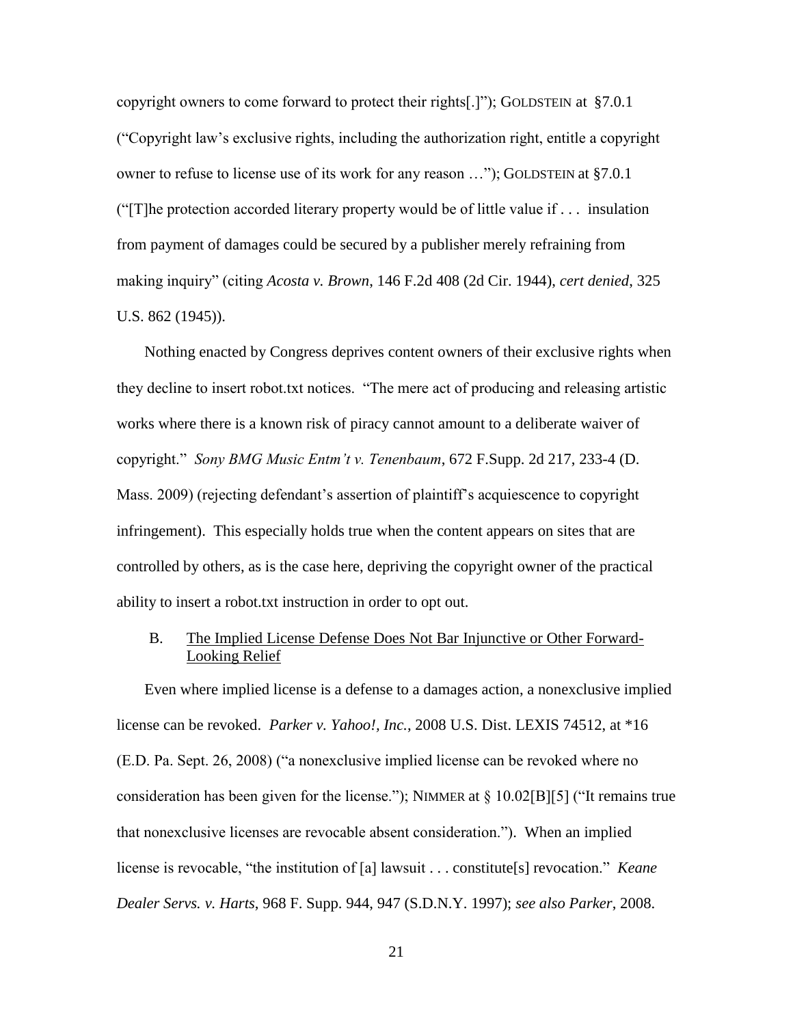copyright owners to come forward to protect their rights[.]"); GOLDSTEIN at §7.0.1 ("Copyright law's exclusive rights, including the authorization right, entitle a copyright owner to refuse to license use of its work for any reason …"); GOLDSTEIN at §7.0.1 ("The protection accorded literary property would be of little value if  $\dots$  insulation from payment of damages could be secured by a publisher merely refraining from making inquiry" (citing *Acosta v. Brown*, 146 F.2d 408 (2d Cir. 1944), *cert denied*, 325 U.S. 862 (1945)).

<span id="page-24-2"></span>Nothing enacted by Congress deprives content owners of their exclusive rights when they decline to insert robot.txt notices. "The mere act of producing and releasing artistic works where there is a known risk of piracy cannot amount to a deliberate waiver of copyright." *Sony BMG Music Entm't v. Tenenbaum*, 672 F.Supp. 2d 217, 233-4 (D. Mass. 2009) (rejecting defendant's assertion of plaintiff's acquiescence to copyright infringement). This especially holds true when the content appears on sites that are controlled by others, as is the case here, depriving the copyright owner of the practical ability to insert a robot.txt instruction in order to opt out.

<span id="page-24-1"></span><span id="page-24-0"></span>B. The Implied License Defense Does Not Bar Injunctive or Other Forward-Looking Relief

Even where implied license is a defense to a damages action, a nonexclusive implied license can be revoked. *Parker v. Yahoo!, Inc.*, 2008 U.S. Dist. LEXIS 74512, at \*16 (E.D. Pa. Sept. 26, 2008) ("a nonexclusive implied license can be revoked where no consideration has been given for the license."); NIMMER at § 10.02[B][5] ("It remains true that nonexclusive licenses are revocable absent consideration."). When an implied license is revocable, "the institution of [a] lawsuit . . . constitute[s] revocation." *Keane Dealer Servs. v. Harts*, 968 F. Supp. 944, 947 (S.D.N.Y. 1997); *see also Parker*, 2008.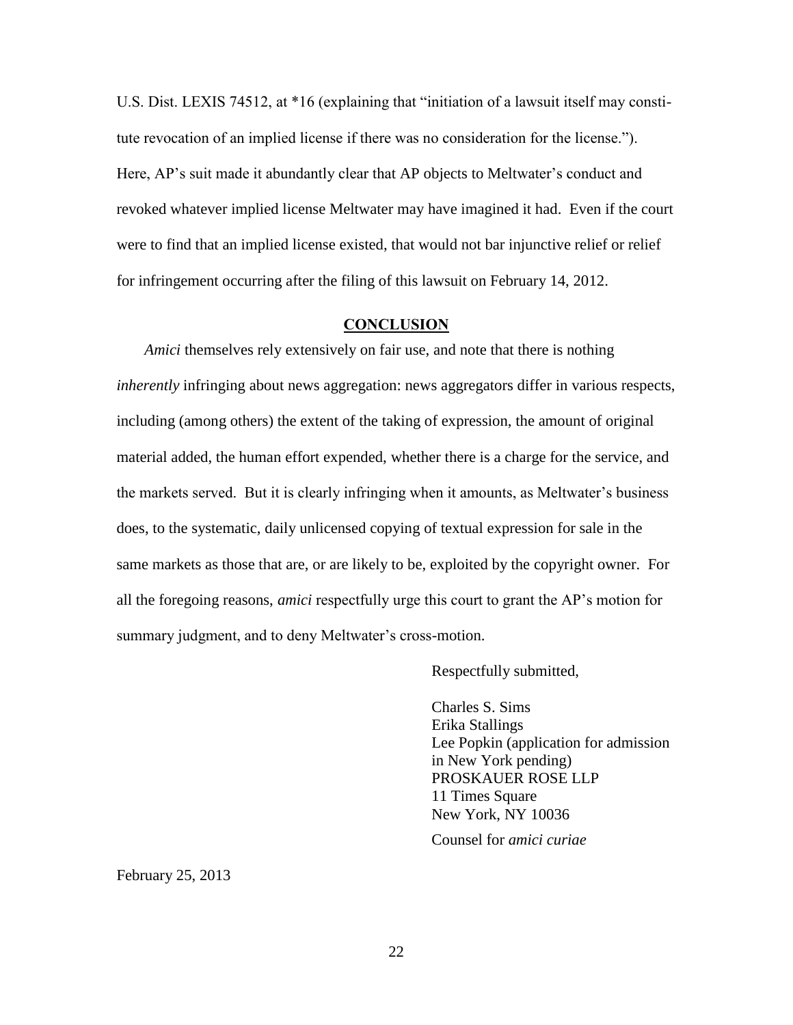U.S. Dist. LEXIS 74512, at \*16 (explaining that "initiation of a lawsuit itself may constitute revocation of an implied license if there was no consideration for the license."). Here, AP's suit made it abundantly clear that AP objects to Meltwater's conduct and revoked whatever implied license Meltwater may have imagined it had. Even if the court were to find that an implied license existed, that would not bar injunctive relief or relief for infringement occurring after the filing of this lawsuit on February 14, 2012.

#### **CONCLUSION**

*Amici* themselves rely extensively on fair use, and note that there is nothing *inherently* infringing about news aggregation: news aggregators differ in various respects, including (among others) the extent of the taking of expression, the amount of original material added, the human effort expended, whether there is a charge for the service, and the markets served. But it is clearly infringing when it amounts, as Meltwater's business does, to the systematic, daily unlicensed copying of textual expression for sale in the same markets as those that are, or are likely to be, exploited by the copyright owner. For all the foregoing reasons, *amici* respectfully urge this court to grant the AP's motion for summary judgment, and to deny Meltwater's cross-motion.

Respectfully submitted,

Charles S. Sims Erika Stallings Lee Popkin (application for admission in New York pending) PROSKAUER ROSE LLP 11 Times Square New York, NY 10036

Counsel for *amici curiae*

February 25, 2013